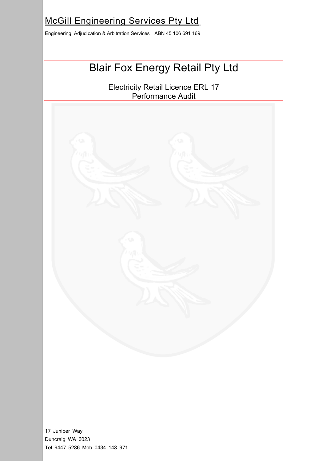## McGill Engineering Services Pty Ltd

Engineering, Adjudication & Arbitration Services ABN 45 106 691 169

# Blair Fox Energy Retail Pty Ltd

Electricity Retail Licence ERL 17 Performance Audit



17 Juniper Way Duncraig WA 6023 Tel 9447 5286 Mob 0434 148 971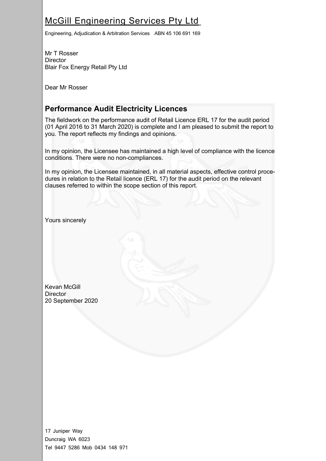## McGill Engineering Services Pty Ltd

Engineering, Adjudication & Arbitration Services ABN 45 106 691 169

Mr T Rosser **Director** Blair Fox Energy Retail Pty Ltd

Dear Mr Rosser

### **Performance Audit Electricity Licences**

The fieldwork on the performance audit of Retail Licence ERL 17 for the audit period (01 April 2016 to 31 March 2020) is complete and I am pleased to submit the report to you. The report reflects my findings and opinions.

In my opinion, the Licensee has maintained a high level of compliance with the licence conditions. There were no non-compliances.

In my opinion, the Licensee maintained, in all material aspects, effective control procedures in relation to the Retail licence (ERL 17) for the audit period on the relevant clauses referred to within the scope section of this report.

Yours sincerely

Kevan McGill **Director** 20 September 2020

17 Juniper Way Duncraig WA 6023 Tel 9447 5286 Mob 0434 148 971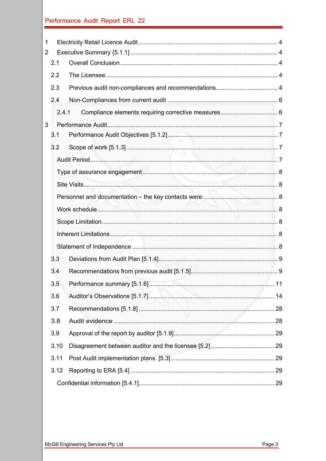| $\mathbf 1$    |     |       |                     |  |
|----------------|-----|-------|---------------------|--|
| $\overline{2}$ |     |       |                     |  |
|                | 2.1 |       |                     |  |
|                | 2.2 |       |                     |  |
|                | 2.3 |       |                     |  |
|                | 2.4 |       |                     |  |
|                |     | 2.4.1 |                     |  |
| 3              |     |       |                     |  |
|                | 3.1 |       |                     |  |
|                | 3.2 |       | <b><i>FIGAN</i></b> |  |
|                |     |       |                     |  |
|                |     |       |                     |  |
|                |     |       |                     |  |
|                |     |       |                     |  |
|                |     |       |                     |  |
|                |     |       |                     |  |
|                |     |       |                     |  |
|                |     |       |                     |  |
|                | 3.3 |       |                     |  |
|                | 3.4 |       |                     |  |
|                | 3.5 |       |                     |  |
|                | 3.6 |       |                     |  |
|                | 3.7 |       |                     |  |
|                | 3.8 |       |                     |  |
|                | 3.9 |       |                     |  |
|                |     | 3.10  |                     |  |
|                |     | 3.11  |                     |  |
|                |     | 3.12  |                     |  |
|                |     |       |                     |  |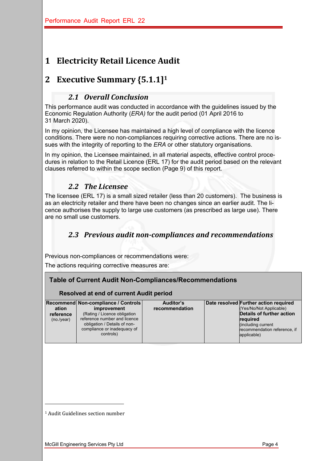## **1 Electricity Retail Licence Audit**

## **2 Executive Summary {5.1.1]1**

#### *2.1 Overall Conclusion*

This performance audit was conducted in accordance with the guidelines issued by the Economic Regulation Authority (*ERA)* for the audit period (01 April 2016 to 31 March 2020).

In my opinion, the Licensee has maintained a high level of compliance with the licence conditions. There were no non-compliances requiring corrective actions. There are no issues with the integrity of reporting to the *ERA* or other statutory organisations.

In my opinion, the Licensee maintained, in all material aspects, effective control procedures in relation to the Retail Licence (ERL 17) for the audit period based on the relevant clauses referred to within the scope section (Page 9) of this report.

### 2.2 *The Licensee*

The licensee (ERL 17) is a small sized retailer (less than 20 customers). The business is as an electricity retailer and there have been no changes since an earlier audit. The licence authorises the supply to large use customers (as prescribed as large use). There are no small use customers.

## *2.3 Previous audit non-compliances and recommendations*

Previous non-compliances or recommendations were:

The actions requiring corrective measures are:

#### **Table of Current Audit Non-Compliances/Recommendations**

#### **Resolved at end of current Audit period**

| ation<br>reference<br>(no./year) | Recommend Non-compliance / Controls<br><i>improvement</i><br>(Rating / Licence obligation<br>reference number and licence<br>obligation / Details of non-<br>compliance or inadequacy of<br>controls) | Auditor's<br>recommendation | Date resolved Further action required<br>(Yes/No/Not Applicable)<br>Details of further action<br>required<br>(including current<br>recommendation reference, if<br>applicable) |
|----------------------------------|-------------------------------------------------------------------------------------------------------------------------------------------------------------------------------------------------------|-----------------------------|--------------------------------------------------------------------------------------------------------------------------------------------------------------------------------|
|                                  |                                                                                                                                                                                                       |                             |                                                                                                                                                                                |

<sup>1</sup> Audit Guidelines section number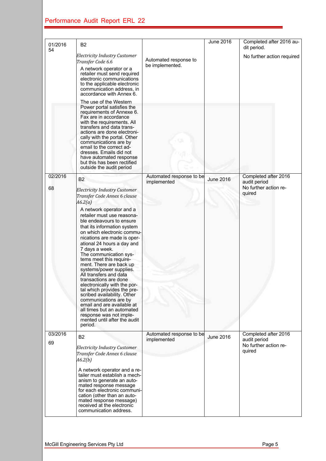| 01/2016       | B <sub>2</sub>                                                                                                                                                                                                                                                                                                                                                                                                                                                                                                                                                                                                                                                   |                                          | June 2016        | Completed after 2016 au-                                                |
|---------------|------------------------------------------------------------------------------------------------------------------------------------------------------------------------------------------------------------------------------------------------------------------------------------------------------------------------------------------------------------------------------------------------------------------------------------------------------------------------------------------------------------------------------------------------------------------------------------------------------------------------------------------------------------------|------------------------------------------|------------------|-------------------------------------------------------------------------|
| 54            | <b>Electricity Industry Customer</b><br>Transfer Code 6.6<br>A network operator or a<br>retailer must send required<br>electronic communications<br>to the applicable electronic<br>communication address, in<br>accordance with Annex 6.<br>The use of the Western                                                                                                                                                                                                                                                                                                                                                                                              | Automated response to<br>be implemented. |                  | dit period.<br>No further action required                               |
|               | Power portal satisfies the<br>requirements of Annexe 6.<br>Fax are in accordance<br>with the requirements. All<br>transfers and data trans-<br>actions are done electroni-<br>cally with the portal. Other<br>communications are by<br>email to the correct ad-<br>dresses. Emails did not<br>have automated response<br>but this has been rectified<br>outside the audit period                                                                                                                                                                                                                                                                                 |                                          |                  |                                                                         |
| 02/2016<br>68 | <b>B2</b><br><b>Electricity Industry Customer</b><br>Transfer Code Annex 6 clause                                                                                                                                                                                                                                                                                                                                                                                                                                                                                                                                                                                | Automated response to be<br>implemented  | <b>June 2016</b> | Completed after 2016<br>audit period<br>No further action re-<br>quired |
|               | A6.2(a)<br>A network operator and a<br>retailer must use reasona-<br>ble endeavours to ensure<br>that its information system<br>on which electronic commu-<br>nications are made is oper-<br>ational 24 hours a day and<br>7 days a week.<br>The communication sys-<br>tems meet this require-<br>ment. There are back up<br>systems/power supplies.<br>All transfers and data<br>transactions are done<br>electronically with the por-<br>tal which provides the pre-<br>scribed availability. Other<br>communications are by<br>email and are available at<br>all times but an automated<br>response was not imple-<br>mented until after the audit<br>period. |                                          |                  |                                                                         |
| 03/2016<br>69 | B <sub>2</sub><br><b>Electricity Industry Customer</b><br>Transfer Code Annex 6 clause<br>A6.2(b)<br>A network operator and a re-<br>tailer must establish a mech-                                                                                                                                                                                                                                                                                                                                                                                                                                                                                               | Automated response to be<br>implemented  | <b>June 2016</b> | Completed after 2016<br>audit period<br>No further action re-<br>quired |
|               | anism to generate an auto-<br>mated response message<br>for each electronic communi-<br>cation (other than an auto-<br>mated response message)<br>received at the electronic<br>communication address.                                                                                                                                                                                                                                                                                                                                                                                                                                                           |                                          |                  |                                                                         |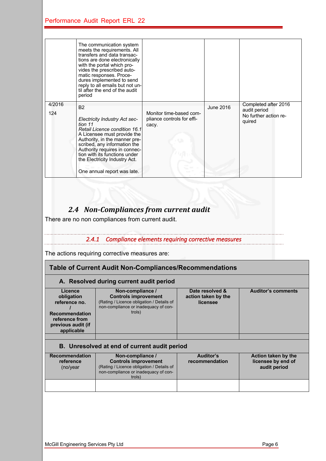|               | The communication system<br>meets the requirements. All<br>transfers and data transac-<br>tions are done electronically<br>with the portal which pro-<br>vides the prescribed auto-<br>matic responses. Proce-<br>dures implemented to send<br>reply to all emails but not un-<br>til after the end of the audit<br>period      |                                                                |           |                                                                         |
|---------------|---------------------------------------------------------------------------------------------------------------------------------------------------------------------------------------------------------------------------------------------------------------------------------------------------------------------------------|----------------------------------------------------------------|-----------|-------------------------------------------------------------------------|
| 4/2016<br>124 | <b>B2</b><br><b>Electricity Industry Act sec-</b><br>tion 11<br>Retail Licence condition 16.1<br>A Licensee must provide the<br>Authority, in the manner pre-<br>scribed, any information the<br>Authority requires in connec-<br>tion with its functions under<br>the Electricity Industry Act.<br>One annual report was late. | Monitor time-based com-<br>pliance controls for effi-<br>cacy. | June 2016 | Completed after 2016<br>audit period<br>No further action re-<br>quired |

## *2.4 Non-Compliances from current audit*

There are no non compliances from current audit.

### *2.4.1 Compliance elements requiring corrective measures*

The actions requiring corrective measures are:

#### **Table of Current Audit Non-Compliances/Recommendations**

#### **A. Resolved during current audit period**

| Licence<br>obligation<br>reference no.<br><b>Recommendation</b><br>reference from<br>previous audit (if<br>applicable | Non-compliance /<br><b>Controls improvement</b><br>(Rating / Licence obligation / Details of<br>non-compliance or inadequacy of con-<br>trols) | Date resolved &<br>action taken by the<br>licensee | <b>Auditor's comments</b> |
|-----------------------------------------------------------------------------------------------------------------------|------------------------------------------------------------------------------------------------------------------------------------------------|----------------------------------------------------|---------------------------|
|                                                                                                                       |                                                                                                                                                |                                                    |                           |

#### **B. Unresolved at end of current audit period**

| <b>Recommendation</b><br>reference<br>(no/year) | Non-compliance /<br><b>Controls improvement</b><br>(Rating / Licence obligation / Details of<br>non-compliance or inadequacy of con-<br>trols) | Auditor's<br>recommendation | Action taken by the<br>licensee by end of<br>audit period |
|-------------------------------------------------|------------------------------------------------------------------------------------------------------------------------------------------------|-----------------------------|-----------------------------------------------------------|
|                                                 |                                                                                                                                                |                             |                                                           |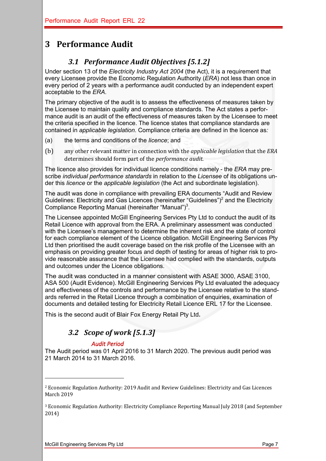## **3 Performance Audit**

## *3.1 Performance Audit Objectives [5.1.2]*

Under section 13 of the *Electricity Industry Act 2004* (the Act), it is a requirement that every Licensee provide the Economic Regulation Authority (*ERA*) not less than once in every period of 2 years with a performance audit conducted by an independent expert acceptable to the *ERA*.

The primary objective of the audit is to assess the effectiveness of measures taken by the Licensee to maintain quality and compliance standards. The Act states a performance audit is an audit of the effectiveness of measures taken by the Licensee to meet the criteria specified in the licence. The licence states that compliance standards are contained in *applicable legislation*. Compliance criteria are defined in the licence as*:*

- (a) the terms and conditions of the *licence*; and
- (b) any other relevant matter in connection with the *applicable legislation* that the *ERA* determines should form part of the *performance audit*.

The licence also provides for individual licence conditions namely - the *ERA* may prescribe *individual performance standards* in relation to the *Licensee* of its obligations under this *licence* or the *applicable legislation* (the Act and subordinate legislation).

The audit was done in compliance with prevailing ERA documents "Audit and Review Guidelines: Electricity and Gas Licences (hereinafter "Guidelines")<sup>2</sup> and the Electricity Compliance Reporting Manual (hereinafter "Manual")<sup>3</sup>.

The Licensee appointed McGill Engineering Services Pty Ltd to conduct the audit of its Retail Licence with approval from the ERA. A preliminary assessment was conducted with the Licensee's management to determine the inherent risk and the state of control for each compliance element of the Licence obligation. McGill Engineering Services Pty Ltd then prioritised the audit coverage based on the risk profile of the Licensee with an emphasis on providing greater focus and depth of testing for areas of higher risk to provide reasonable assurance that the Licensee had complied with the standards, outputs and outcomes under the Licence obligations.

The audit was conducted in a manner consistent with ASAE 3000, ASAE 3100, ASA 500 (Audit Evidence). McGill Engineering Services Pty Ltd evaluated the adequacy and effectiveness of the controls and performance by the Licensee relative to the standards referred in the Retail Licence through a combination of enquiries, examination of documents and detailed testing for Electricity Retail Licence ERL 17 for the Licensee.

This is the second audit of Blair Fox Energy Retail Pty Ltd.

## *3.2 Scope of work [5.1.3]*

#### *Audit Period*

The Audit period was 01 April 2016 to 31 March 2020. The previous audit period was 21 March 2014 to 31 March 2016.

<sup>&</sup>lt;sup>2</sup> Economic Regulation Authority: 2019 Audit and Review Guidelines: Electricity and Gas Licences March 2019

<sup>&</sup>lt;sup>3</sup> Economic Regulation Authority: Electricity Compliance Reporting Manual July 2018 (and September 2014)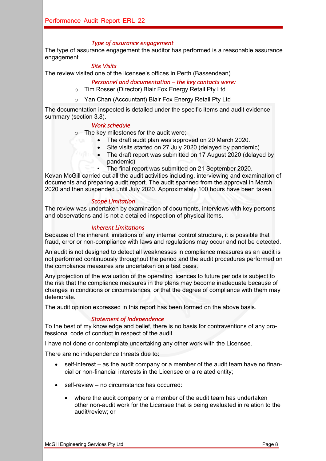#### *Type of assurance engagement*

The type of assurance engagement the auditor has performed is a reasonable assurance engagement.

#### *Site Visits*

The review visited one of the licensee's offices in Perth (Bassendean).

#### *Personnel and documentation – the key contacts were:*

- o Tim Rosser (Director) Blair Fox Energy Retail Pty Ltd
- o Yan Chan (Accountant) Blair Fox Energy Retail Pty Ltd

The documentation inspected is detailed under the specific items and audit evidence summary (section 3.8).

#### *Work schedule*

o The key milestones for the audit were;

- The draft audit plan was approved on 20 March 2020.
- Site visits started on 27 July 2020 (delayed by pandemic)
- The draft report was submitted on 17 August 2020 (delayed by pandemic)
- The final report was submitted on 21 September 2020.

Kevan McGill carried out all the audit activities including, interviewing and examination of documents and preparing audit report. The audit spanned from the approval in March 2020 and then suspended until July 2020. Approximately 100 hours have been taken.

#### *Scope Limitation*

The review was undertaken by examination of documents, interviews with key persons and observations and is not a detailed inspection of physical items.

#### *Inherent Limitations*

Because of the inherent limitations of any internal control structure, it is possible that fraud, error or non-compliance with laws and regulations may occur and not be detected.

An audit is not designed to detect all weaknesses in compliance measures as an audit is not performed continuously throughout the period and the audit procedures performed on the compliance measures are undertaken on a test basis.

Any projection of the evaluation of the operating licences to future periods is subject to the risk that the compliance measures in the plans may become inadequate because of changes in conditions or circumstances, or that the degree of compliance with them may deteriorate.

The audit opinion expressed in this report has been formed on the above basis.

#### *Statement of Independence*

To the best of my knowledge and belief, there is no basis for contraventions of any professional code of conduct in respect of the audit.

I have not done or contemplate undertaking any other work with the Licensee.

There are no independence threats due to:

- self-interest as the audit company or a member of the audit team have no financial or non-financial interests in the Licensee or a related entity;
- self-review no circumstance has occurred:
	- where the audit company or a member of the audit team has undertaken other non-audit work for the Licensee that is being evaluated in relation to the audit/review; or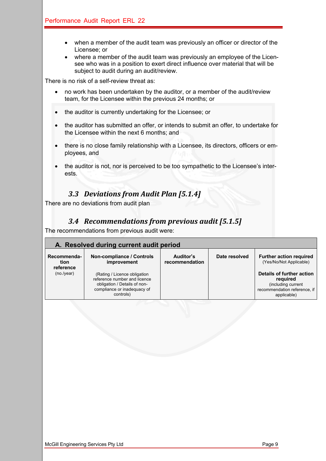- when a member of the audit team was previously an officer or director of the Licensee; or
- where a member of the audit team was previously an employee of the Licensee who was in a position to exert direct influence over material that will be subject to audit during an audit/review.

There is no risk of a self-review threat as:

- no work has been undertaken by the auditor, or a member of the audit/review team, for the Licensee within the previous 24 months; or
- the auditor is currently undertaking for the Licensee; or
- the auditor has submitted an offer, or intends to submit an offer, to undertake for the Licensee within the next 6 months; and
- there is no close family relationship with a Licensee, its directors, officers or employees, and
- the auditor is not, nor is perceived to be too sympathetic to the Licensee's interests.

### **3.3 Deviations from Audit Plan [5.1.4]**

There are no deviations from audit plan

### *3.4 Recommendations from previous audit [5.1.5]*

The recommendations from previous audit were:

|                                  | A. Resolved during current audit period                                                                                                  |                             |               |                                                                                                            |  |  |  |  |  |  |  |
|----------------------------------|------------------------------------------------------------------------------------------------------------------------------------------|-----------------------------|---------------|------------------------------------------------------------------------------------------------------------|--|--|--|--|--|--|--|
| Recommenda-<br>tion<br>reference | Non-compliance / Controls<br>improvement                                                                                                 | Auditor's<br>recommendation | Date resolved | <b>Further action required</b><br>(Yes/No/Not Applicable)                                                  |  |  |  |  |  |  |  |
| (no./year)                       | (Rating / Licence obligation<br>reference number and licence<br>obligation / Details of non-<br>compliance or inadequacy of<br>controls) |                             |               | Details of further action<br>required<br>(including current<br>recommendation reference, if<br>applicable) |  |  |  |  |  |  |  |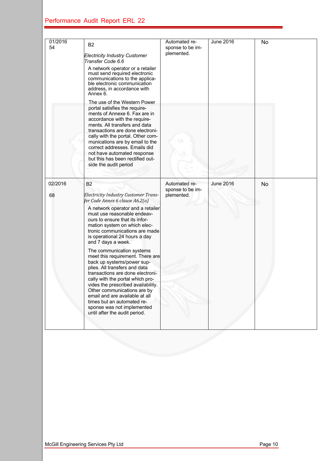| 01/2016<br>54 | <b>B2</b><br><b>Electricity Industry Customer</b><br>Transfer Code 6.6<br>A network operator or a retailer<br>must send required electronic<br>communications to the applica-<br>ble electronic communication<br>address, in accordance with<br>Annex 6.<br>The use of the Western Power                                                                                                                                                                                                                                                                                                                                                                                                                                               | Automated re-<br>sponse to be im-<br>plemented. | <b>June 2016</b> | No |
|---------------|----------------------------------------------------------------------------------------------------------------------------------------------------------------------------------------------------------------------------------------------------------------------------------------------------------------------------------------------------------------------------------------------------------------------------------------------------------------------------------------------------------------------------------------------------------------------------------------------------------------------------------------------------------------------------------------------------------------------------------------|-------------------------------------------------|------------------|----|
|               | portal satisfies the require-<br>ments of Annexe 6. Fax are in<br>accordance with the require-<br>ments. All transfers and data<br>transactions are done electroni-<br>cally with the portal. Other com-<br>munications are by email to the<br>correct addresses. Emails did<br>not have automated response<br>but this has been rectified out-<br>side the audit period                                                                                                                                                                                                                                                                                                                                                               |                                                 |                  |    |
| 02/2016<br>68 | <b>B2</b><br><b>Electricity Industry Customer Trans-</b><br>fer Code Annex 6 clause A6.2(a)<br>A network operator and a retailer<br>must use reasonable endeav-<br>ours to ensure that its infor-<br>mation system on which elec-<br>tronic communications are made<br>is operational 24 hours a day<br>and 7 days a week.<br>The communication systems<br>meet this requirement. There are<br>back up systems/power sup-<br>plies. All transfers and data<br>transactions are done electroni-<br>cally with the portal which pro-<br>vides the prescribed availability.<br>Other communications are by<br>email and are available at all<br>times but an automated re-<br>sponse was not implemented<br>until after the audit period. | Automated re-<br>sponse to be im-<br>plemented. | <b>June 2016</b> | No |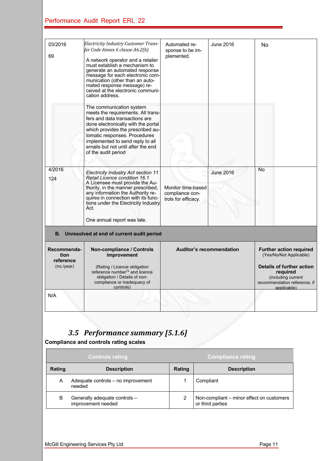| 03/2016<br>69                    | <b>Electricity Industry Customer Trans-</b><br>fer Code Annex 6 clause A6.2(b)<br>A network operator and a retailer<br>must establish a mechanism to<br>generate an automated response<br>message for each electronic com-<br>munication (other than an auto-<br>mated response message) re-<br>ceived at the electronic communi-<br>cation address. | Automated re-<br>sponse to be im-<br>plemented.              | June 2016                                                                                                         | No                                                        |  |
|----------------------------------|------------------------------------------------------------------------------------------------------------------------------------------------------------------------------------------------------------------------------------------------------------------------------------------------------------------------------------------------------|--------------------------------------------------------------|-------------------------------------------------------------------------------------------------------------------|-----------------------------------------------------------|--|
|                                  | The communication system<br>meets the requirements. All trans-<br>fers and data transactions are<br>done electronically with the portal<br>which provides the prescribed au-<br>tomatic responses. Procedures<br>implemented to send reply to all<br>emails but not until after the end<br>of the audit period                                       |                                                              |                                                                                                                   |                                                           |  |
| 4/2016<br>124                    | <b>Electricity Industry Act section 11</b><br><b>Retail Licence condition 16.1</b><br>A Licensee must provide the Au-<br>thority, in the manner prescribed,<br>any information the Authority re-<br>quires in connection with its func-<br>tions under the Electricity Industry<br>Act.<br>One annual report was late.                               | Monitor time-based<br>compliance con-<br>trols for efficacy. | <b>June 2016</b>                                                                                                  | No                                                        |  |
|                                  | B. Unresolved at end of current audit period                                                                                                                                                                                                                                                                                                         |                                                              |                                                                                                                   |                                                           |  |
| Recommenda-<br>tion<br>reference | <b>Non-compliance / Controls</b><br>improvement                                                                                                                                                                                                                                                                                                      | <b>Auditor's recommendation</b>                              |                                                                                                                   | <b>Further action required</b><br>(Yes/No/Not Applicable) |  |
| (no./year)                       | (Rating / Licence obligation<br>reference number <sup>74</sup> and licence<br>obligation / Details of non-<br>compliance or inadequacy of<br>controls)                                                                                                                                                                                               |                                                              | <b>Details of further action</b><br>required<br>(including current<br>recommendation reference, if<br>applicable) |                                                           |  |

## *3.5 Performance summary [5.1.6]*

**Compliance and controls rating scales** 

N/A

|                                     | <b>Controls rating</b>                              | <b>Compliance rating</b> |                                                               |  |  |  |
|-------------------------------------|-----------------------------------------------------|--------------------------|---------------------------------------------------------------|--|--|--|
| <b>Rating</b><br><b>Description</b> |                                                     |                          | <b>Description</b>                                            |  |  |  |
| Α                                   | Adequate controls - no improvement<br>needed        |                          | Compliant                                                     |  |  |  |
| в                                   | Generally adequate controls -<br>improvement needed |                          | Non-compliant - minor effect on customers<br>or third parties |  |  |  |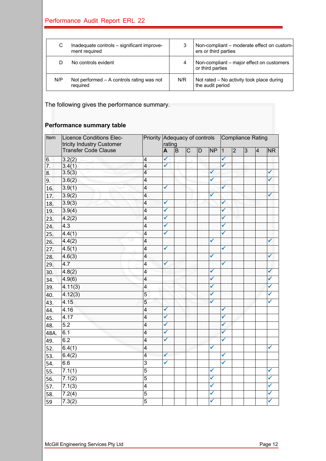| C.  | Inadequate controls - significant improve-<br>ment required | 3   | Non-compliant – moderate effect on custom-<br>ers or third parties |
|-----|-------------------------------------------------------------|-----|--------------------------------------------------------------------|
|     | No controls evident                                         | 4   | Non-compliant – major effect on customers<br>or third parties      |
| N/P | Not performed $-$ A controls rating was not<br>required     | N/R | Not rated - No activity took place during<br>the audit period      |

The following gives the performance summary.

#### **Performance summary table**

| Item             | <b>Licence Conditions Elec-</b><br>tricity Industry Customer |                         |              | Priority Adequacy of controls<br>rating |                       |                |              | Compliance Rating |                |    |                |              |
|------------------|--------------------------------------------------------------|-------------------------|--------------|-----------------------------------------|-----------------------|----------------|--------------|-------------------|----------------|----|----------------|--------------|
|                  | <b>Transfer Code Clause</b>                                  |                         | A            | $\overline{B}$                          | $\overline{\text{c}}$ | $\overline{D}$ | <b>NP</b>    | $\overline{1}$    | $\overline{2}$ | ပြ | $\overline{4}$ | <b>NR</b>    |
| 6.               | 3.2(2)                                                       | $\overline{\mathbf{4}}$ | ✔            |                                         |                       |                |              | ✓                 |                |    |                |              |
| $\overline{7}$ . | 3.4(1)                                                       | $\overline{4}$          | ✔            |                                         |                       |                |              | ✓                 |                |    |                |              |
| 8.               | 3.5(3)                                                       | $\overline{4}$          |              |                                         |                       |                | $\checkmark$ |                   |                |    |                | ✓            |
| 9.               | 3.6(2)                                                       | $\overline{4}$          |              |                                         |                       |                | $\checkmark$ |                   |                |    |                | $\checkmark$ |
| 16.              | 3.9(1)                                                       | $\overline{4}$          | $\checkmark$ |                                         |                       |                |              | ✓                 |                |    |                |              |
| 17.              | 3.9(2)                                                       | $\overline{4}$          |              |                                         |                       |                | ✓            |                   |                |    |                | ✓            |
| 18.              | 3.9(3)                                                       | 4                       | ✔            |                                         |                       |                |              | ✓                 |                |    |                |              |
| 19.              | 3.9(4)                                                       | $\overline{4}$          | ✓            |                                         |                       |                |              | ✓                 |                |    |                |              |
| 23.              | 4.2(2)                                                       | $\overline{\mathbf{4}}$ | ✔            |                                         |                       |                |              | ✓                 |                |    |                |              |
| 24.              | 4.3                                                          | $\overline{\mathbf{4}}$ | ✔            |                                         |                       |                |              | ✓                 |                |    |                |              |
| 25.              | 4.4(1)                                                       | $\overline{4}$          | ✓            |                                         |                       |                |              | ✓                 |                |    |                |              |
| 26.              | 4.4(2)                                                       | $\overline{4}$          |              |                                         |                       |                | ✓            |                   |                |    |                | ✓            |
| 27.              | 4.5(1)                                                       | $\overline{4}$          | $\checkmark$ |                                         |                       |                |              | $\checkmark$      |                |    |                |              |
| 28.              | 4.6(3)                                                       | $\overline{\mathbf{4}}$ |              |                                         |                       |                | ✓            |                   |                |    |                | ✓            |
| 29.              | 4.7                                                          | $\overline{4}$          | ✓            |                                         |                       |                |              | $\checkmark$      |                |    |                |              |
| 30.              | 4.8(2)                                                       | $\overline{4}$          |              |                                         |                       |                | ✔            |                   |                |    |                | ✓            |
| 34.              | 4.9(6)                                                       | $\overline{\mathbf{4}}$ |              |                                         |                       |                | $\checkmark$ |                   |                |    |                | ✔            |
| 39.              | 4.11(3)                                                      | $\overline{4}$          |              |                                         |                       |                | $\checkmark$ |                   |                |    |                | ✓            |
| 40.              | 4.12(3)                                                      | 5                       |              |                                         |                       |                | ✓            |                   |                |    |                | ✔            |
| 43.              | 4.15                                                         | 5                       |              |                                         |                       |                | ✓            |                   |                |    |                | ✓            |
| 44.              | 4.16                                                         | $\overline{4}$          | $\checkmark$ |                                         |                       |                |              | ✔                 |                |    |                |              |
| 45.              | 4.17                                                         | $\overline{4}$          | $\checkmark$ |                                         |                       |                |              | ✓                 |                |    |                |              |
| 48.              | $\overline{5.2}$                                             | $\overline{4}$          | $\checkmark$ |                                         |                       |                |              | $\checkmark$      |                |    |                |              |
| 48A.             | 6.1                                                          | $\overline{4}$          | ✔            |                                         |                       |                |              | $\checkmark$      |                |    |                |              |
| 49.              | 6.2                                                          | 4                       | ✔            |                                         |                       |                |              | ✓                 |                |    |                |              |
| 52.              | 6.4(1)                                                       | $\overline{4}$          |              |                                         |                       |                | ✓            |                   |                |    |                | ✔            |
| 53.              | 6.4(2)                                                       | $\overline{4}$          | ✓            |                                         |                       |                |              | ✓                 |                |    |                |              |
| 54.              | 6.6                                                          | $\overline{3}$          | ✔            |                                         |                       |                |              | ✓                 |                |    |                |              |
| 55.              | 7.1(1)                                                       | $\overline{5}$          |              |                                         |                       |                | ✓            |                   |                |    |                | ✔            |
| 56.              | 7.1(2)                                                       | $\overline{5}$          |              |                                         |                       |                | ✓            |                   |                |    |                | ✓            |
| 57.              | 7.1(3)                                                       | $\overline{4}$          |              |                                         |                       |                | ✓            |                   |                |    |                | ✔            |
| 58.              | 7.2(4)                                                       | 5                       |              |                                         |                       |                | $\checkmark$ |                   |                |    |                | ✓            |
| 59               | 7.3(2)                                                       | $\overline{5}$          |              |                                         |                       |                | ✓            |                   |                |    |                | ✔            |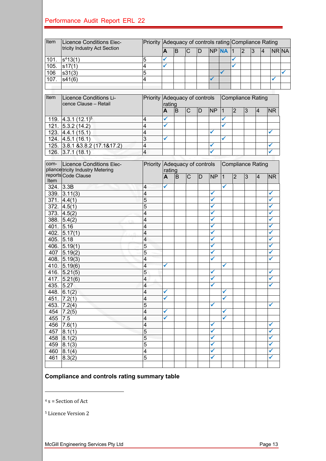| Item | Licence Conditions Elec-                               | Priority Adequacy of controls rating Compliance Rating |        |          |                |    |                |                |                |                          |                |                |                |  |
|------|--------------------------------------------------------|--------------------------------------------------------|--------|----------|----------------|----|----------------|----------------|----------------|--------------------------|----------------|----------------|----------------|--|
|      | tricity Industry Act Section                           |                                                        | A      | B        | $\overline{C}$ | D  |                | NP NA          | 11             | $\overline{2}$           | $\overline{3}$ | $\overline{4}$ | NR NA          |  |
| 101. | $s^{4}13(1)$                                           | 5                                                      | ✔      |          |                |    |                |                | ✔              |                          |                |                |                |  |
| 105. | s17(1)                                                 | 4                                                      |        |          |                |    |                |                | ✓              |                          |                |                |                |  |
| 106  | s31(3)                                                 | 5                                                      |        |          |                |    |                | ✓              |                |                          |                |                |                |  |
| 107. | s41(6)                                                 | 4                                                      |        |          |                |    |                |                |                |                          |                |                | ✓              |  |
|      |                                                        |                                                        |        |          |                |    |                |                |                |                          |                |                |                |  |
|      |                                                        |                                                        |        |          |                |    |                |                |                |                          |                |                |                |  |
| Item | <b>Licence Conditions Li-</b><br>cence Clause - Retail | Priority Adequacy of controls                          | rating |          |                |    |                |                |                | <b>Compliance Rating</b> |                |                |                |  |
|      |                                                        |                                                        | A      | B        | $\overline{C}$ | D  | N <sub>P</sub> | $\overline{1}$ | $\overline{2}$ | $\overline{3}$           | 4              |                | <b>NR</b>      |  |
| 119. | $4.3.1(12.1)^5$                                        | 4                                                      |        |          |                |    |                |                |                |                          |                |                |                |  |
| 121. | 5.3.2(14.2)                                            | 4                                                      | ✓      |          |                |    |                |                |                |                          |                |                |                |  |
| 123. | 4.4.1(15.1)                                            | 4                                                      |        |          |                |    | ✓              |                |                |                          |                |                | ✓              |  |
| 124. | 4.5.1(16.1)                                            | $\overline{3}$                                         | ✓      |          |                |    |                | ✔              |                |                          |                |                |                |  |
| 125. | $3.8.1$ & 3.8.2 (17.1& 17.2)                           | 4                                                      |        |          |                |    |                |                |                |                          |                |                | ✔              |  |
| 126. | 3.7.1(18.1)                                            | $\overline{4}$                                         |        |          |                |    |                |                |                |                          |                |                |                |  |
|      |                                                        |                                                        |        |          |                |    |                |                |                |                          |                |                |                |  |
| com- | Licence Conditions Elec-                               | Priority Adequacy of controls                          |        |          |                |    |                |                |                | <b>Compliance Rating</b> |                |                |                |  |
|      | pliance tricity Industry Metering                      |                                                        | rating |          |                |    |                |                |                |                          |                |                |                |  |
| Item | reports Code Clause                                    |                                                        | A      | <b>B</b> | $\mathsf C$    | ID | <b>NP</b>      | $\overline{1}$ | $\overline{2}$ | 3                        | 4              |                | N <sub>R</sub> |  |
|      | 324.  3.3B                                             | 4                                                      | ✔      |          |                |    |                | ✓              |                |                          |                |                |                |  |
| 339. | 3.11(3)                                                | 4                                                      |        |          |                |    | ✔              |                |                |                          |                |                | ✔              |  |
| 371. | 4.4(1)                                                 | 5                                                      |        |          |                |    | √              |                |                |                          |                |                | √              |  |
| 372. | 4.5(1)                                                 | 5                                                      |        |          |                |    | ✔              |                |                |                          |                |                | ✔              |  |
| 373. | 4.5(2)                                                 | 4                                                      |        |          |                |    | $\checkmark$   |                |                |                          |                |                | ✔              |  |
| 388. | 5.4(2)                                                 | 4                                                      |        |          |                |    | ✔              |                |                |                          |                |                | ✔              |  |
| 401. | 5.16                                                   | 4                                                      |        |          |                |    | ✓              |                |                |                          |                |                | ✔              |  |
| 402. | 5.17(1)                                                | 4                                                      |        |          |                |    | ✔              |                |                |                          |                |                | ✔              |  |
| 405. | 5.18                                                   | 4                                                      |        |          |                |    | ✔              |                |                |                          |                |                | ✔              |  |
| 406. | 5.19(1)                                                | 5                                                      |        |          |                |    | ✔              |                |                |                          |                |                | ✔              |  |
| 407  | 5.19(2)                                                | 5                                                      |        |          |                |    | $\checkmark$   |                |                |                          |                |                | ✔              |  |
| 408. | 5.19(3)                                                | 4                                                      |        |          |                |    | ✔              |                |                |                          |                |                | ✓              |  |
| 410. | 5.19(6)                                                | 4                                                      | ✓      |          |                |    |                | ✓              |                |                          |                |                |                |  |
| 416. | 5.21(5)                                                | 5                                                      |        |          |                |    |                |                |                |                          |                |                |                |  |
| 417. | 5.21(6)                                                | 4                                                      |        |          |                |    | ✔              |                |                |                          |                |                |                |  |
| 435. | 5.27                                                   | 4                                                      |        |          |                |    | ✔              |                |                |                          |                |                | ✔              |  |
| 448. | 6.1(2)                                                 | 4                                                      | √      |          |                |    |                | ✔              |                |                          |                |                |                |  |
| 451. | 7.2(1)                                                 | 4                                                      | √      |          |                |    |                | ✓              |                |                          |                |                |                |  |
| 453. | 7.2(4)                                                 | 5                                                      |        |          |                |    | ✔              |                |                |                          |                |                | ✔              |  |
| 454  | 7.2(5)                                                 | 4                                                      | ✔      |          |                |    |                | ✔              |                |                          |                |                |                |  |
| 455  | 7.5                                                    | 4                                                      | ✔      |          |                |    |                | ✔              |                |                          |                |                |                |  |
| 456  | 7.6(1)                                                 | 4                                                      |        |          |                |    | ✔              |                |                |                          |                |                | ✔              |  |
| 457  | 8.1(1)                                                 | 5                                                      |        |          |                |    | √              |                |                |                          |                |                | ✔              |  |
| 458  | 8.1(2)                                                 | 5                                                      |        |          |                |    | ✔              |                |                |                          |                |                | ✔              |  |
| 459  | 8.1(3)                                                 | 5                                                      |        |          |                |    | ✔              |                |                |                          |                |                | ✔              |  |
| 460  | 8.1(4)                                                 | $\overline{\mathbf{4}}$                                |        |          |                |    | ✔              |                |                |                          |                |                | ✔              |  |
| 461  | $\overline{8.3(2)}$                                    | 5                                                      |        |          |                |    | ✔              |                |                |                          |                |                | ✔              |  |
|      |                                                        |                                                        |        |          |                |    |                |                |                |                          |                |                |                |  |

#### **Compliance and controls rating summary table**

 $4 s =$  Section of Act

<sup>5</sup> Licence Version 2

McGill Engineering Services Pty Ltd **Page 13**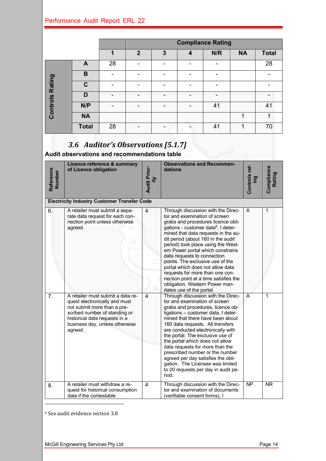|               |              |    |                | <b>Compliance Rating</b> |   |     |           |              |  |  |  |  |
|---------------|--------------|----|----------------|--------------------------|---|-----|-----------|--------------|--|--|--|--|
|               |              | 1  | $\overline{2}$ | 3                        | 4 | N/R | <b>NA</b> | <b>Total</b> |  |  |  |  |
|               | A            | 28 | -              |                          |   | -   |           | 28           |  |  |  |  |
| <b>Rating</b> | B            | -  |                |                          |   |     |           | -            |  |  |  |  |
|               | C            |    |                |                          |   |     |           |              |  |  |  |  |
|               | D            |    |                |                          |   |     |           |              |  |  |  |  |
| Controls      | N/P          | -  |                |                          |   | 41  |           | 41           |  |  |  |  |
|               | <b>NA</b>    |    |                |                          |   |     |           |              |  |  |  |  |
|               | <b>Total</b> | 28 |                |                          |   | 41  |           | 70           |  |  |  |  |

## *3.6 Auditor's Observations [5.1.7]*

**Audit observations and recommendations table**

| Reference<br>Number | Licence reference & summary<br>of Licence obligation                                                                                                                                                             | <b>Audit Prior-</b><br>Κì | <b>Observations and Recommen-</b><br>dations                                                                                                                                                                                                                                                                                                                                                                                                                                                                                                                          | Controls rat-<br>ing | Compliance<br>Rating |
|---------------------|------------------------------------------------------------------------------------------------------------------------------------------------------------------------------------------------------------------|---------------------------|-----------------------------------------------------------------------------------------------------------------------------------------------------------------------------------------------------------------------------------------------------------------------------------------------------------------------------------------------------------------------------------------------------------------------------------------------------------------------------------------------------------------------------------------------------------------------|----------------------|----------------------|
|                     | <b>Electricity Industry Customer Transfer Code</b>                                                                                                                                                               |                           |                                                                                                                                                                                                                                                                                                                                                                                                                                                                                                                                                                       |                      |                      |
| 6.                  | A retailer must submit a sepa-<br>rate data request for each con-<br>nection point unless otherwise<br>agreed.                                                                                                   | $\overline{4}$            | Through discussion with the Direc-<br>tor and examination of screen<br>grabs and procedures licence obli-<br>gations - customer data <sup>6</sup> , I deter-<br>mined that data requests in the au-<br>dit period (about 160 in the audit<br>period) took place using the West-<br>ern Power portal which constrains<br>data requests to connection<br>points. The exclusive use of the<br>portal which does not allow data<br>requests for more than one con-<br>nection point at a time satisfies the<br>obligation. Western Power man-<br>dates use of the portal. | A                    | $\mathbf{1}$         |
| 7.                  | A retailer must submit a data re-<br>quest electronically and must<br>not submit more than a pre-<br>scribed number of standing or<br>historical data requests in a<br>business day, unless otherwise<br>agreed. | $\overline{\mathbf{4}}$   | Through discussion with the Direc-<br>tor and examination of screen<br>grabs and procedures, licence ob-<br>ligations - customer data, I deter-<br>mined that there have been about<br>160 data requests. All transfers<br>are conducted electronically with<br>the portal. The exclusive use of<br>the portal which does not allow<br>data requests for more than the<br>prescribed number or the number<br>agreed per day satisfies the obli-<br>gation. The Licensee was limited<br>to 20 requests per day in audit pe-<br>riod.                                   | A                    | $\mathbf{1}$         |
| 8.                  | A retailer must withdraw a re-<br>quest for historical consumption<br>data if the contestable                                                                                                                    | 4                         | Through discussion with the Direc-<br>tor and examination of documents<br>(verifiable consent forms), I                                                                                                                                                                                                                                                                                                                                                                                                                                                               | <b>NP</b>            | <b>NR</b>            |

 $^6$  See audit evidence section  $3.8\,$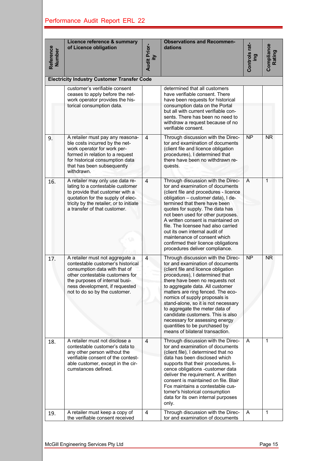| Reference<br><b>Number</b> |                                                                                                                                                                                                                                               | <b>Audit Prior-</b><br>ξÌ |                                                                                                                                                                                                                                                                                                                                                                                                                                                                                                                 | Controls rat-<br>ing | Compliance<br>Rating |  |  |  |  |  |
|----------------------------|-----------------------------------------------------------------------------------------------------------------------------------------------------------------------------------------------------------------------------------------------|---------------------------|-----------------------------------------------------------------------------------------------------------------------------------------------------------------------------------------------------------------------------------------------------------------------------------------------------------------------------------------------------------------------------------------------------------------------------------------------------------------------------------------------------------------|----------------------|----------------------|--|--|--|--|--|
|                            | <b>Electricity Industry Customer Transfer Code</b>                                                                                                                                                                                            |                           |                                                                                                                                                                                                                                                                                                                                                                                                                                                                                                                 |                      |                      |  |  |  |  |  |
|                            | customer's verifiable consent<br>ceases to apply before the net-<br>work operator provides the his-<br>torical consumption data.                                                                                                              |                           | determined that all customers<br>have verifiable consent. There<br>have been requests for historical<br>consumption data on the Portal<br>but all with current verifiable con-<br>sents. There has been no need to<br>withdraw a request because of no<br>verifiable consent.                                                                                                                                                                                                                                   |                      |                      |  |  |  |  |  |
| 9.                         | A retailer must pay any reasona-<br>ble costs incurred by the net-<br>work operator for work per-<br>formed in relation to a request<br>for historical consumption data<br>that has been subsequently<br>withdrawn.                           | 4                         | Through discussion with the Direc-<br>tor and examination of documents<br>(client file and licence obligation<br>procedures), I determined that<br>there have been no withdrawn re-<br>quests.                                                                                                                                                                                                                                                                                                                  | <b>NP</b>            | <b>NR</b>            |  |  |  |  |  |
| 16.                        | A retailer may only use data re-<br>lating to a contestable customer<br>to provide that customer with a<br>quotation for the supply of elec-<br>tricity by the retailer; or to initiate<br>a transfer of that customer.                       | 4                         | Through discussion with the Direc-<br>tor and examination of documents<br>(client file and procedures - licence<br>obligation - customer data), I de-<br>termined that there have been<br>quotes for supply. The data has<br>not been used for other purposes.<br>A written consent is maintained on<br>file. The licensee had also carried<br>out its own internal audit of<br>maintenance of consent which<br>confirmed their licence obligations<br>procedures deliver compliance.                           | A                    | 1                    |  |  |  |  |  |
| 17.                        | A retailer must not aggregate a<br>contestable customer's historical<br>consumption data with that of<br>other contestable customers for<br>the purposes of internal busi-<br>ness development, if requested<br>not to do so by the customer. | $\overline{4}$            | Through discussion with the Direc-<br>tor and examination of documents<br>(client file and licence obligation<br>procedures), I determined that<br>there have been no requests not<br>to aggregate data. All customer<br>matters are ring fenced. The eco-<br>nomics of supply proposals is<br>stand-alone, so it is not necessary<br>to aggregate the meter data of<br>candidate customers. This is also<br>necessary for assessing energy<br>quantities to be purchased by<br>means of bilateral transaction. | <b>NP</b>            | <b>NR</b>            |  |  |  |  |  |
| 18.                        | A retailer must not disclose a<br>contestable customer's data to<br>any other person without the<br>verifiable consent of the contest-<br>able customer, except in the cir-<br>cumstances defined.                                            | 4                         | Through discussion with the Direc-<br>tor and examination of documents<br>(client file), I determined that no<br>data has been disclosed which<br>supports that their procedures, li-<br>cence obligations -customer data<br>deliver the requirement. A written<br>consent is maintained on file. Blair<br>Fox maintains a contestable cus-<br>tomer's historical consumption<br>data for its own internal purposes<br>only.                                                                                    | A                    | 1                    |  |  |  |  |  |
| 19.                        | A retailer must keep a copy of<br>the verifiable consent received                                                                                                                                                                             | $\overline{4}$            | Through discussion with the Direc-<br>tor and examination of documents                                                                                                                                                                                                                                                                                                                                                                                                                                          | A                    | 1                    |  |  |  |  |  |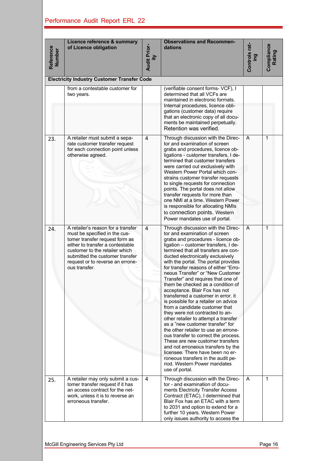| Reference<br><b>Number</b> | Licence reference & summary<br>of Licence obligation                                                                                                                                                                                                                | <b>Audit Prior-</b><br>Ξ | <b>Observations and Recommen-</b><br>dations                                                                                                                                                                                                                                                                                                                                                                                                                                                                                                                                                                                                                                                                                                                                                                                                                                                                                                                                          | Controls rat-<br>ing | Compliance<br>Rating |
|----------------------------|---------------------------------------------------------------------------------------------------------------------------------------------------------------------------------------------------------------------------------------------------------------------|--------------------------|---------------------------------------------------------------------------------------------------------------------------------------------------------------------------------------------------------------------------------------------------------------------------------------------------------------------------------------------------------------------------------------------------------------------------------------------------------------------------------------------------------------------------------------------------------------------------------------------------------------------------------------------------------------------------------------------------------------------------------------------------------------------------------------------------------------------------------------------------------------------------------------------------------------------------------------------------------------------------------------|----------------------|----------------------|
|                            | <b>Electricity Industry Customer Transfer Code</b><br>from a contestable customer for                                                                                                                                                                               |                          | (verifiable consent forms-VCF), I                                                                                                                                                                                                                                                                                                                                                                                                                                                                                                                                                                                                                                                                                                                                                                                                                                                                                                                                                     |                      |                      |
|                            | two years.                                                                                                                                                                                                                                                          |                          | determined that all VCFs are<br>maintained in electronic formats.<br>Internal procedures, licence obli-<br>gations (customer data) require<br>that an electronic copy of all docu-<br>ments be maintained perpetually.<br>Retention was verified.                                                                                                                                                                                                                                                                                                                                                                                                                                                                                                                                                                                                                                                                                                                                     |                      |                      |
| 23.                        | A retailer must submit a sepa-<br>rate customer transfer request<br>for each connection point unless<br>otherwise agreed.                                                                                                                                           | $\overline{4}$           | Through discussion with the Direc-<br>tor and examination of screen<br>grabs and procedures, licence ob-<br>ligations - customer transfers, I de-<br>termined that customer transfers<br>were carried out exclusively with<br>Western Power Portal which con-<br>strains customer transfer requests<br>to single requests for connection<br>points. The portal does not allow<br>transfer requests for more than<br>one NMI at a time. Western Power<br>is responsible for allocating NMIs<br>to connection points. Western<br>Power mandates use of portal.                                                                                                                                                                                                                                                                                                                                                                                                                          | A                    | 1                    |
| 24.                        | A retailer's reason for a transfer<br>must be specified in the cus-<br>tomer transfer request form as<br>either to transfer a contestable<br>customer to the retailer which<br>submitted the customer transfer<br>request or to reverse an errone-<br>ous transfer. | $\overline{4}$           | Through discussion with the Direc-<br>tor and examination of screen<br>grabs and procedures - licence ob-<br>ligation - customer transfers, I de-<br>termined that all transfers are con-<br>ducted electronically exclusively<br>with the portal. The portal provides<br>for transfer reasons of either "Erro-<br>neous Transfer" or "New Customer<br>Transfer" and requires that one of<br>them be checked as a condition of<br>acceptance. Blair Fox has not<br>transferred a customer in error. it<br>is possible for a retailer on advice<br>from a candidate customer that<br>they were not contracted to an-<br>other retailer to attempt a transfer<br>as a "new customer transfer" for<br>the other retailer to use an errone-<br>ous transfer to correct the process.<br>These are new customer transfers<br>and not erroneous transfers by the<br>licensee. There have been no er-<br>roneous transfers in the audit pe-<br>riod. Western Power mandates<br>use of portal. | A                    | 1                    |
| 25.                        | A retailer may only submit a cus-<br>tomer transfer request if it has<br>an access contract for the net-<br>work, unless it is to reverse an<br>erroneous transfer.                                                                                                 | 4                        | Through discussion with the Direc-<br>tor - and examination of docu-<br>ments Electricity Transfer Access<br>Contract (ETAC), I determined that<br>Blair Fox has an ETAC with a term<br>to 2031 and option to extend for a<br>further 10 years. Western Power<br>only issues authority to access the                                                                                                                                                                                                                                                                                                                                                                                                                                                                                                                                                                                                                                                                                  | A                    | 1                    |
|                            | McGill Engineering Services Pty Ltd                                                                                                                                                                                                                                 |                          |                                                                                                                                                                                                                                                                                                                                                                                                                                                                                                                                                                                                                                                                                                                                                                                                                                                                                                                                                                                       |                      | Page 16              |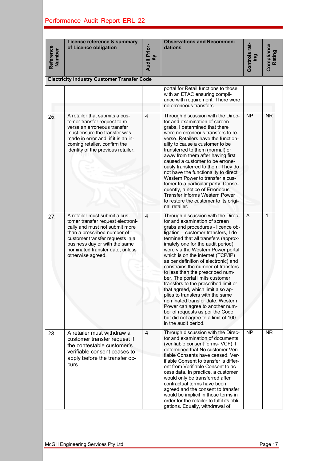| Reference<br><b>Number</b> | Licence reference & summary<br>of Licence obligation                                                                                                                                                                                                            | <b>Audit Prior-</b><br>Ξ | <b>Observations and Recommen-</b><br>dations                                                                                                                                                                                                                                                                                                                                                                                                                                                                                                                                                                                                                                                                                                            | Controls rat-<br>ing | Compliance<br>Rating |
|----------------------------|-----------------------------------------------------------------------------------------------------------------------------------------------------------------------------------------------------------------------------------------------------------------|--------------------------|---------------------------------------------------------------------------------------------------------------------------------------------------------------------------------------------------------------------------------------------------------------------------------------------------------------------------------------------------------------------------------------------------------------------------------------------------------------------------------------------------------------------------------------------------------------------------------------------------------------------------------------------------------------------------------------------------------------------------------------------------------|----------------------|----------------------|
|                            | <b>Electricity Industry Customer Transfer Code</b>                                                                                                                                                                                                              |                          |                                                                                                                                                                                                                                                                                                                                                                                                                                                                                                                                                                                                                                                                                                                                                         |                      |                      |
|                            |                                                                                                                                                                                                                                                                 |                          | portal for Retail functions to those<br>with an ETAC ensuring compli-<br>ance with requirement. There were<br>no erroneous transfers.                                                                                                                                                                                                                                                                                                                                                                                                                                                                                                                                                                                                                   |                      |                      |
| 26.                        | A retailer that submits a cus-<br>tomer transfer request to re-<br>verse an erroneous transfer<br>must ensure the transfer was<br>made in error and, if it is an in-<br>coming retailer, confirm the<br>identity of the previous retailer.                      | $\overline{4}$           | Through discussion with the Direc-<br>tor and examination of screen<br>grabs, I determined that there<br>were no erroneous transfers to re-<br>verse. Retailers have the function-<br>ality to cause a customer to be<br>transferred to them (normal) or<br>away from them after having first<br>caused a customer to be errone-<br>ously transferred to them. They do<br>not have the functionality to direct<br>Western Power to transfer a cus-<br>tomer to a particular party. Conse-<br>quently, a notice of Erroneous<br><b>Transfer informs Western Power</b><br>to restore the customer to its origi-<br>nal retailer.                                                                                                                          | <b>NP</b>            | <b>NR</b>            |
| 27.                        | A retailer must submit a cus-<br>tomer transfer request electroni-<br>cally and must not submit more<br>than a prescribed number of<br>customer transfer requests in a<br>business day or with the same<br>nominated transfer date, unless<br>otherwise agreed. | 4                        | Through discussion with the Direc-<br>tor and examination of screen<br>grabs and procedures - licence ob-<br>ligation - customer transfers, I de-<br>termined that all transfers (approx-<br>imately one for the audit period)<br>were via the Western Power portal<br>which is on the internet (TCP/IP)<br>as per definition of electronic) and<br>constrains the number of transfers<br>to less than the prescribed num-<br>ber. The portal limits customer<br>transfers to the prescribed limit or<br>that agreed, which limit also ap-<br>plies to transfers with the same<br>nominated transfer date. Western<br>Power can agree to another num-<br>ber of requests as per the Code<br>but did not agree to a limit of 100<br>in the audit period. | A                    | $\mathbf{1}$         |
| 28.                        | A retailer must withdraw a<br>customer transfer request if<br>the contestable customer's<br>verifiable consent ceases to<br>apply before the transfer oc-<br>curs.                                                                                              | 4                        | Through discussion with the Direc-<br>tor and examination of documents<br>(verifiable consent forms- VCF), I<br>determined that No customer Veri-<br>fiable Consents have ceased. Ver-<br>ifiable Consent to transfer is differ-<br>ent from Verifiable Consent to ac-<br>cess data. In practice, a customer<br>would only be transferred after<br>contractual terms have been<br>agreed and the consent to transfer<br>would be implicit in those terms in<br>order for the retailer to fulfil its obli-<br>gations. Equally, withdrawal of                                                                                                                                                                                                            | $\overline{NP}$      | <b>NR</b>            |
|                            | McGill Engineering Services Pty Ltd                                                                                                                                                                                                                             |                          |                                                                                                                                                                                                                                                                                                                                                                                                                                                                                                                                                                                                                                                                                                                                                         |                      | Page 17              |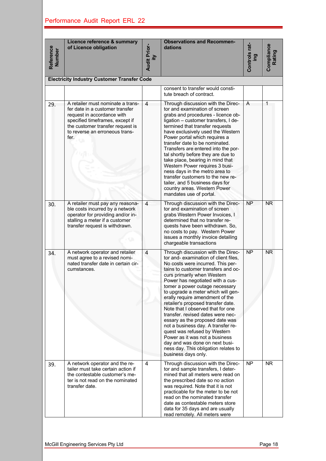| Reference<br><b>Number</b> | Licence reference & summary<br>of Licence obligation                                                                                                                                                                | <b>Audit Prior-</b><br>Ξ | <b>Observations and Recommen-</b><br>dations                                                                                                                                                                                                                                                                                                                                                                                                                                                                                                                                                                                                                                                     | Controls rat-<br>ing | Compliance<br>Rating   |
|----------------------------|---------------------------------------------------------------------------------------------------------------------------------------------------------------------------------------------------------------------|--------------------------|--------------------------------------------------------------------------------------------------------------------------------------------------------------------------------------------------------------------------------------------------------------------------------------------------------------------------------------------------------------------------------------------------------------------------------------------------------------------------------------------------------------------------------------------------------------------------------------------------------------------------------------------------------------------------------------------------|----------------------|------------------------|
|                            | <b>Electricity Industry Customer Transfer Code</b>                                                                                                                                                                  |                          |                                                                                                                                                                                                                                                                                                                                                                                                                                                                                                                                                                                                                                                                                                  |                      |                        |
|                            |                                                                                                                                                                                                                     |                          | consent to transfer would consti-<br>tute breach of contract.                                                                                                                                                                                                                                                                                                                                                                                                                                                                                                                                                                                                                                    |                      |                        |
| 29.                        | A retailer must nominate a trans-<br>fer date in a customer transfer<br>request in accordance with<br>specified timeframes, except if<br>the customer transfer request is<br>to reverse an erroneous trans-<br>fer. | $\overline{4}$           | Through discussion with the Direc-<br>tor and examination of screen<br>grabs and procedures - licence ob-<br>ligation - customer transfers, I de-<br>termined that transfer requests<br>have exclusively used the Western<br>Power portal which requires a<br>transfer date to be nominated.<br>Transfers are entered into the por-<br>tal shortly before they are due to<br>take place, bearing in mind that<br>Western Power requires 3 busi-<br>ness days in the metro area to<br>transfer customers to the new re-<br>tailer, and 5 business days for<br>country areas. Western Power<br>mandates use of portal.                                                                             | A                    | 1                      |
| 30.                        | A retailer must pay any reasona-<br>ble costs incurred by a network<br>operator for providing and/or in-<br>stalling a meter if a customer<br>transfer request is withdrawn.                                        | $\overline{4}$           | Through discussion with the Direc-<br>tor and examination of screen<br>grabs Western Power Invoices. I<br>determined that no transfer re-<br>quests have been withdrawn. So,<br>no costs to pay. Western Power<br>issues a monthly invoice detailing<br>chargeable transactions                                                                                                                                                                                                                                                                                                                                                                                                                  | <b>NP</b>            | <b>NR</b>              |
| 34.                        | A network operator and retailer<br>must agree to a revised nomi-<br>nated transfer date in certain cir-<br>cumstances.                                                                                              | $\overline{4}$           | Through discussion with the Direc-<br>tor and-examination of client files,<br>No costs were incurred. This per-<br>tains to customer transfers and oc-<br>curs primarily when Western<br>Power has negotiated with a cus-<br>tomer a power outage necessary<br>to upgrade a meter which will gen-<br>erally require amendment of the<br>retailer's proposed transfer date.<br>Note that I observed that for one<br>transfer, revised dates were nec-<br>essary as the proposed date was<br>not a business day. A transfer re-<br>quest was refused by Western<br>Power as it was not a business<br>day and was done on next busi-<br>ness day. This obligation relates to<br>business days only. | $\overline{NP}$      | <b>NR</b>              |
| 39.                        | A network operator and the re-<br>tailer must take certain action if<br>the contestable customer's me-<br>ter is not read on the nominated<br>transfer date.                                                        | $\overline{4}$           | Through discussion with the Direc-<br>tor and sample transfers, I deter-<br>mined that all meters were read on<br>the prescribed date so no action<br>was required. Note that it is not<br>practicable for the meter to be not<br>read on the nominated transfer<br>date as contestable meters store<br>data for 35 days and are usually<br>read remotely. All meters were                                                                                                                                                                                                                                                                                                                       | NP                   | $\overline{\text{NR}}$ |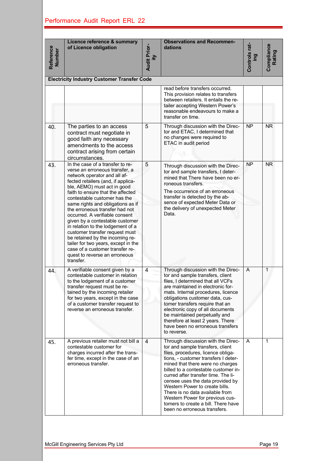| Reference<br><b>Number</b> | Licence reference & summary<br>of Licence obligation                                                                                                                                                                                                                                                                                                                                                                                                                                                                                                                                                                       | <b>Audit Prior-</b><br>ίtγ | <b>Observations and Recommen-</b><br>dations                                                                                                                                                                                                                                                                                                                                                                                                                                               | Controls rat-<br>ing | Compliance<br>Rating |
|----------------------------|----------------------------------------------------------------------------------------------------------------------------------------------------------------------------------------------------------------------------------------------------------------------------------------------------------------------------------------------------------------------------------------------------------------------------------------------------------------------------------------------------------------------------------------------------------------------------------------------------------------------------|----------------------------|--------------------------------------------------------------------------------------------------------------------------------------------------------------------------------------------------------------------------------------------------------------------------------------------------------------------------------------------------------------------------------------------------------------------------------------------------------------------------------------------|----------------------|----------------------|
|                            | <b>Electricity Industry Customer Transfer Code</b>                                                                                                                                                                                                                                                                                                                                                                                                                                                                                                                                                                         |                            |                                                                                                                                                                                                                                                                                                                                                                                                                                                                                            |                      |                      |
|                            |                                                                                                                                                                                                                                                                                                                                                                                                                                                                                                                                                                                                                            |                            | read before transfers occurred.<br>This provision relates to transfers<br>between retailers. It entails the re-<br>tailer accepting Western Power's<br>reasonable endeavours to make a<br>transfer on time.                                                                                                                                                                                                                                                                                |                      |                      |
| 40.                        | The parties to an access<br>contract must negotiate in<br>good faith any necessary<br>amendments to the access<br>contract arising from certain<br>circumstances.                                                                                                                                                                                                                                                                                                                                                                                                                                                          | 5                          | Through discussion with the Direc-<br>tor and ETAC, I determined that<br>no changes were required to<br>ETAC in audit period                                                                                                                                                                                                                                                                                                                                                               | <b>NP</b>            | <b>NR</b>            |
| 43.                        | In the case of a transfer to re-<br>verse an erroneous transfer, a<br>network operator and all af-<br>fected retailers (and, if applica-<br>ble, AEMO) must act in good<br>faith to ensure that the affected<br>contestable customer has the<br>same rights and obligations as if<br>the erroneous transfer had not<br>occurred. A verifiable consent<br>given by a contestable customer<br>in relation to the lodgement of a<br>customer transfer request must<br>be retained by the incoming re-<br>tailer for two years, except in the<br>case of a customer transfer re-<br>quest to reverse an erroneous<br>transfer. | 5                          | Through discussion with the Direc-<br>tor and sample transfers, I deter-<br>mined that There have been no er-<br>roneous transfers.<br>The occurrence of an erroneous<br>transfer is detected by the ab-<br>sence of expected Meter Data or<br>the delivery of unexpected Meter<br>Data.                                                                                                                                                                                                   | <b>NP</b>            | <b>NR</b>            |
| 44.                        | A verifiable consent given by a<br>contestable customer in relation<br>to the lodgement of a customer<br>transfer request must be re-<br>tained by the incoming retailer<br>for two years, except in the case<br>of a customer transfer request to<br>reverse an erroneous transfer.                                                                                                                                                                                                                                                                                                                                       | $\overline{4}$             | Through discussion with the Direc-<br>tor and sample transfers, client<br>files, I determined that all VCFs<br>are maintained in electronic for-<br>mats. Internal procedures, licence<br>obligations customer data, cus-<br>tomer transfers require that an<br>electronic copy of all documents<br>be maintained perpetually and<br>therefore at least 2 years. There<br>have been no erroneous transfers<br>to reverse.                                                                  | A                    | 1                    |
| 45.                        | A previous retailer must not bill a<br>contestable customer for<br>charges incurred after the trans-<br>fer time, except in the case of an<br>erroneous transfer.                                                                                                                                                                                                                                                                                                                                                                                                                                                          | 4                          | Through discussion with the Direc-<br>tor and sample transfers, client<br>files, procedures, licence obliga-<br>tions, - customer transfers I deter-<br>mined that there were no charges<br>billed to a contestable customer in-<br>curred after transfer time. The li-<br>censee uses the data provided by<br>Western Power to create bills.<br>There is no data available from<br>Western Power for previous cus-<br>tomers to create a bill. There have<br>been no erroneous transfers. | A                    | 1                    |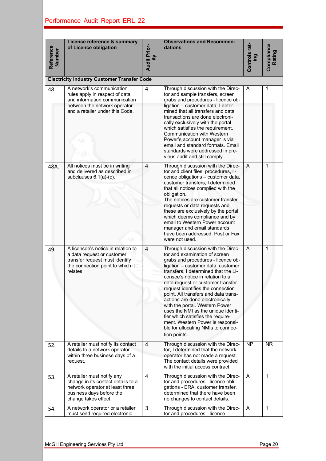| Reference<br>Number | Licence reference & summary<br>of Licence obligation                                                                                                            | <b>Audit Prior-</b><br>ξÎ | <b>Observations and Recommen-</b><br>dations                                                                                                                                                                                                                                                                                                                                                                                                                                                                                                                                            | Controls rat-<br><b>gui</b> | <b>Compliance</b><br>Rating |
|---------------------|-----------------------------------------------------------------------------------------------------------------------------------------------------------------|---------------------------|-----------------------------------------------------------------------------------------------------------------------------------------------------------------------------------------------------------------------------------------------------------------------------------------------------------------------------------------------------------------------------------------------------------------------------------------------------------------------------------------------------------------------------------------------------------------------------------------|-----------------------------|-----------------------------|
|                     | <b>Electricity Industry Customer Transfer Code</b>                                                                                                              |                           |                                                                                                                                                                                                                                                                                                                                                                                                                                                                                                                                                                                         |                             |                             |
| 48.                 | A network's communication<br>rules apply in respect of data<br>and information communication<br>between the network operator<br>and a retailer under this Code. | 4                         | Through discussion with the Direc-<br>tor and sample transfers, screen<br>grabs and procedures - licence ob-<br>ligation - customer data, I deter-<br>mined that all transfers and data<br>transactions are done electroni-<br>cally exclusively with the portal<br>which satisfies the requirement.<br><b>Communication with Western</b><br>Power's account manager is via<br>email and standard formats. Email<br>standards were addressed in pre-<br>vious audit and still comply.                                                                                                   | A                           | 1                           |
| 48A.                | All notices must be in writing<br>and delivered as described in<br>subclauses 6.1(a)-(c).                                                                       | $\overline{4}$            | Through discussion with the Direc-<br>tor and client files, procedures, li-<br>cence obligations - customer data,<br>customer transfers, I determined<br>that all notices complied with the<br>obligation.<br>The notices are customer transfer<br>requests or data requests and<br>these are exclusively by the portal<br>which deems compliance and by<br>email to Western Power account<br>manager and email standards<br>have been addressed. Post or Fax<br>were not used.                                                                                                         | A                           | 1                           |
| 49.                 | A licensee's notice in relation to<br>a data request or customer<br>transfer request must identify<br>the connection point to which it<br>relates               | $\overline{4}$            | Through discussion with the Direc-<br>tor and examination of screen<br>grabs and procedures - licence ob-<br>ligation - customer data, customer<br>transfers, I determined that the Li-<br>censee's notice in relation to a<br>data request or customer transfer<br>request identifies the connection<br>point. All transfers and data trans-<br>actions are done electronically<br>with the portal. Western Power<br>uses the NMI as the unique identi-<br>fier which satisfies the require-<br>ment. Western Power is responsi-<br>ble for allocating NMIs to connec-<br>tion points. | A                           | $\mathbf{1}$                |
| 52.                 | A retailer must notify its contact<br>details to a network operator<br>within three business days of a<br>request.                                              | $\overline{4}$            | Through discussion with the Direc-<br>tor, I determined that the network<br>operator has not made a request.<br>The contact details were provided<br>with the initial access contract.                                                                                                                                                                                                                                                                                                                                                                                                  | <b>NP</b>                   | <b>NR</b>                   |
| 53.                 | A retailer must notify any<br>change in its contact details to a<br>network operator at least three<br>business days before the<br>change takes effect.         | 4                         | Through discussion with the Direc-<br>tor and procedures - licence obli-<br>gations - ERA, customer transfer, I<br>determined that there have been<br>no changes to contact details.                                                                                                                                                                                                                                                                                                                                                                                                    | A                           | $\mathbf{1}$                |
| 54.                 | A network operator or a retailer<br>must send required electronic                                                                                               | 3                         | Through discussion with the Direc-<br>tor and procedures - licence                                                                                                                                                                                                                                                                                                                                                                                                                                                                                                                      | A                           | 1                           |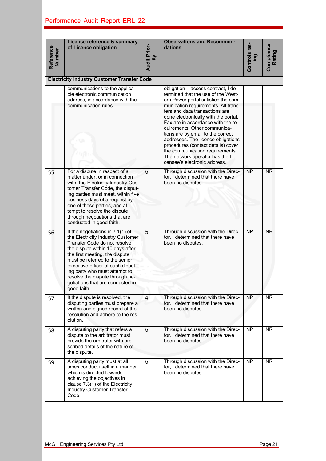| Reference<br>Number | Licence reference & summary<br>of Licence obligation                                                                                                                                                                                                                                                                                                                      | <b>Audit Prior-</b><br>ξÌ | <b>Observations and Recommen-</b><br>dations                                                                                                                                                                                                                                                                                                                                                                                                                                                                                    | Controls rat-<br>pui | Compliance<br>Rating   |  |  |  |  |  |
|---------------------|---------------------------------------------------------------------------------------------------------------------------------------------------------------------------------------------------------------------------------------------------------------------------------------------------------------------------------------------------------------------------|---------------------------|---------------------------------------------------------------------------------------------------------------------------------------------------------------------------------------------------------------------------------------------------------------------------------------------------------------------------------------------------------------------------------------------------------------------------------------------------------------------------------------------------------------------------------|----------------------|------------------------|--|--|--|--|--|
|                     | <b>Electricity Industry Customer Transfer Code</b>                                                                                                                                                                                                                                                                                                                        |                           |                                                                                                                                                                                                                                                                                                                                                                                                                                                                                                                                 |                      |                        |  |  |  |  |  |
|                     | communications to the applica-<br>ble electronic communication<br>address, in accordance with the<br>communication rules.                                                                                                                                                                                                                                                 |                           | obligation - access contract, I de-<br>termined that the use of the West-<br>ern Power portal satisfies the com-<br>munication requirements. All trans-<br>fers and data transactions are<br>done electronically with the portal.<br>Fax are in accordance with the re-<br>quirements. Other communica-<br>tions are by email to the correct<br>addresses. The licence obligations<br>procedures (contact details) cover<br>the communication requirements.<br>The network operator has the Li-<br>censee's electronic address. |                      |                        |  |  |  |  |  |
| 55.                 | For a dispute in respect of a<br>matter under, or in connection<br>with, the Electricity Industry Cus-<br>tomer Transfer Code, the disput-<br>ing parties must meet, within five<br>business days of a request by<br>one of those parties, and at-<br>tempt to resolve the dispute<br>through negotiations that are<br>conducted in good faith.                           | 5                         | Through discussion with the Direc-<br>tor, I determined that there have<br>been no disputes.                                                                                                                                                                                                                                                                                                                                                                                                                                    | <b>NP</b>            | $\overline{\text{NR}}$ |  |  |  |  |  |
| 56.                 | If the negotiations in 7.1(1) of<br>the Electricity Industry Customer<br>Transfer Code do not resolve<br>the dispute within 10 days after<br>the first meeting, the dispute<br>must be referred to the senior<br>executive officer of each disput-<br>ing party who must attempt to<br>resolve the dispute through ne-<br>gotiations that are conducted in<br>good faith. | 5                         | Through discussion with the Direc-<br>tor, I determined that there have<br>been no disputes.                                                                                                                                                                                                                                                                                                                                                                                                                                    | <b>NP</b>            | <b>NR</b>              |  |  |  |  |  |
| 57.                 | If the dispute is resolved, the<br>disputing parties must prepare a<br>written and signed record of the<br>resolution and adhere to the res-<br>olution.                                                                                                                                                                                                                  | $\overline{4}$            | Through discussion with the Direc-<br>tor, I determined that there have<br>been no disputes.                                                                                                                                                                                                                                                                                                                                                                                                                                    | $\overline{NP}$      | <b>NR</b>              |  |  |  |  |  |
| 58.                 | A disputing party that refers a<br>dispute to the arbitrator must<br>provide the arbitrator with pre-<br>scribed details of the nature of<br>the dispute.                                                                                                                                                                                                                 | 5                         | Through discussion with the Direc-<br>tor, I determined that there have<br>been no disputes.                                                                                                                                                                                                                                                                                                                                                                                                                                    | <b>NP</b>            | <b>NR</b>              |  |  |  |  |  |
| 59.                 | A disputing party must at all<br>times conduct itself in a manner<br>which is directed towards<br>achieving the objectives in<br>clause 7.3(1) of the Electricity<br>Industry Customer Transfer<br>Code.                                                                                                                                                                  | 5                         | Through discussion with the Direc-<br>tor, I determined that there have<br>been no disputes.                                                                                                                                                                                                                                                                                                                                                                                                                                    | <b>NP</b>            | <b>NR</b>              |  |  |  |  |  |
|                     | McGill Engineering Services Pty Ltd                                                                                                                                                                                                                                                                                                                                       |                           |                                                                                                                                                                                                                                                                                                                                                                                                                                                                                                                                 |                      | Page 21                |  |  |  |  |  |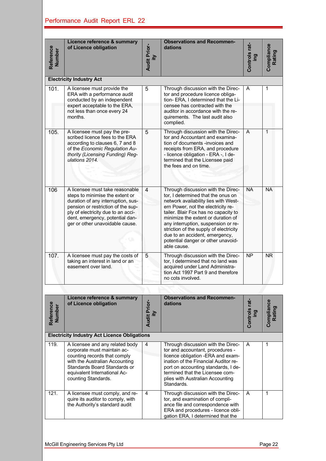| Reference<br>Number | Licence reference & summary<br>of Licence obligation                                                                                                                                                                                                       | <b>Audit Prior-</b><br>Ψi | <b>Observations and Recommen-</b><br>dations                                                                                                                                                                                                                                                                                                                                                                 | Controls rat-<br>ing      | Compliance<br>Rating |
|---------------------|------------------------------------------------------------------------------------------------------------------------------------------------------------------------------------------------------------------------------------------------------------|---------------------------|--------------------------------------------------------------------------------------------------------------------------------------------------------------------------------------------------------------------------------------------------------------------------------------------------------------------------------------------------------------------------------------------------------------|---------------------------|----------------------|
|                     | <b>Electricity Industry Act</b>                                                                                                                                                                                                                            |                           |                                                                                                                                                                                                                                                                                                                                                                                                              |                           |                      |
| 101.                | A licensee must provide the<br>ERA with a performance audit<br>conducted by an independent<br>expert acceptable to the ERA,<br>not less than once every 24<br>months.                                                                                      | 5                         | Through discussion with the Direc-<br>tor and procedure licence obliga-<br>tion- ERA, I determined that the Li-<br>censee has contracted with the<br>auditor in accordance with the re-<br>quirements. The last audit also<br>complied.                                                                                                                                                                      | A                         | 1                    |
| 105.                | A licensee must pay the pre-<br>scribed licence fees to the ERA<br>according to clauses 6, 7 and 8<br>of the Economic Regulation Au-<br>thority (Licensing Funding) Reg-<br>ulations 2014.                                                                 | 5                         | Through discussion with the Direc-<br>tor and Accountant and examina-<br>tion of documents -invoices and<br>receipts from ERA, and procedure<br>- licence obligation - ERA -, I de-<br>termined that the Licensee paid<br>the fees and on time.                                                                                                                                                              | A                         | 1                    |
| 106                 | A licensee must take reasonable<br>steps to minimise the extent or<br>duration of any interruption, sus-<br>pension or restriction of the sup-<br>ply of electricity due to an acci-<br>dent, emergency, potential dan-<br>ger or other unavoidable cause. | 4                         | Through discussion with the Direc-<br>tor, I determined that the onus on<br>network availability lies with West-<br>ern Power, not the electricity re-<br>tailer. Blair Fox has no capacity to<br>minimize the extent or duration of<br>any interruption, suspension or re-<br>striction of the supply of electricity<br>due to an accident, emergency,<br>potential danger or other unavoid-<br>able cause. | <b>NA</b>                 | <b>NA</b>            |
| 107.                | A licensee must pay the costs of<br>taking an interest in land or an<br>easement over land.                                                                                                                                                                | 5                         | Through discussion with the Direc-<br>tor, I determined that no land was<br>acquired under Land Administra-<br>tion Act 1997 Part 9 and therefore<br>no cots involved.                                                                                                                                                                                                                                       | $\overline{NP}$           | <b>NR</b>            |
|                     |                                                                                                                                                                                                                                                            |                           |                                                                                                                                                                                                                                                                                                                                                                                                              |                           |                      |
| Reference<br>Number | Licence reference & summary<br>of Licence obligation                                                                                                                                                                                                       | <b>Audit Prior-</b><br>₹  | <b>Observations and Recommen-</b><br>dations                                                                                                                                                                                                                                                                                                                                                                 | Controls rat-<br><b>g</b> | Compliance<br>Rating |
|                     | <b>Electricity Industry Act Licence Obligations</b>                                                                                                                                                                                                        |                           |                                                                                                                                                                                                                                                                                                                                                                                                              |                           |                      |
| 119.                | A licensee and any related body<br>corporate must maintain ac-<br>counting records that comply<br>with the Australian Accounting<br>Standards Board Standards or<br>equivalent International Ac-<br>counting Standards.                                    | 4                         | Through discussion with the Direc-<br>tor and accountant, procedures -<br>licence obligation -ERA and exam-<br>ination of the Financial Auditor re-<br>port on accounting standards, I de-<br>termined that the Licensee com-<br>plies with Australian Accounting<br>Standards.                                                                                                                              | A                         | 1                    |
| 121.                | A licensee must comply, and re-<br>quire its auditor to comply, with<br>the Authority's standard audit                                                                                                                                                     | 4                         | Through discussion with the Direc-<br>tor, and examination of compli-<br>ance file and correspondence with<br>ERA and procedures - licence obli-<br>gation ERA, I determined that the                                                                                                                                                                                                                        | A                         | 1                    |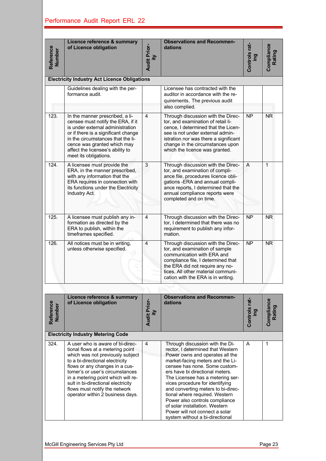| Reference<br><b>Number</b> | Licence reference & summary<br>of Licence obligation                                                                                                                                                                                                                                                                                                              | <b>Audit Prior-</b><br>ξÎ | <b>Observations and Recommen-</b><br>dations                                                                                                                                                                                                                                                                                                                                                                                                                                                            | Controls rat-<br><b>gui</b> | Compliance<br>Rating   |  |  |  |  |  |  |
|----------------------------|-------------------------------------------------------------------------------------------------------------------------------------------------------------------------------------------------------------------------------------------------------------------------------------------------------------------------------------------------------------------|---------------------------|---------------------------------------------------------------------------------------------------------------------------------------------------------------------------------------------------------------------------------------------------------------------------------------------------------------------------------------------------------------------------------------------------------------------------------------------------------------------------------------------------------|-----------------------------|------------------------|--|--|--|--|--|--|
|                            | <b>Electricity Industry Act Licence Obligations</b>                                                                                                                                                                                                                                                                                                               |                           |                                                                                                                                                                                                                                                                                                                                                                                                                                                                                                         |                             |                        |  |  |  |  |  |  |
|                            | Guidelines dealing with the per-<br>formance audit.                                                                                                                                                                                                                                                                                                               |                           | Licensee has contracted with the<br>auditor in accordance with the re-<br>quirements. The previous audit<br>also complied.                                                                                                                                                                                                                                                                                                                                                                              |                             |                        |  |  |  |  |  |  |
| 123.                       | In the manner prescribed, a li-<br>censee must notify the ERA, if it<br>is under external administration<br>or if there is a significant change<br>in the circumstances that the li-<br>cence was granted which may<br>affect the licensee's ability to<br>meet its obligations.                                                                                  | $\overline{4}$            | Through discussion with the Direc-<br>tor, and examination of retail li-<br>cence, I determined that the Licen-<br>see is not under external admin-<br>istration nor was there a significant<br>change in the circumstances upon<br>which the licence was granted.                                                                                                                                                                                                                                      | NP                          | N <sub>R</sub>         |  |  |  |  |  |  |
| 124.                       | A licensee must provide the<br>ERA, in the manner prescribed,<br>with any information that the<br>ERA requires in connection with<br>its functions under the Electricity<br>Industry Act.                                                                                                                                                                         | 3                         | Through discussion with the Direc-<br>tor, and examination of compli-<br>ance file, procedures licence obli-<br>gations - ERA and annual compli-<br>ance reports, I determined that the<br>annual compliance reports were<br>completed and on time.                                                                                                                                                                                                                                                     | $\overline{A}$              | $\mathbf{1}$           |  |  |  |  |  |  |
| 125.                       | A licensee must publish any in-<br>formation as directed by the<br>ERA to publish, within the<br>timeframes specified.                                                                                                                                                                                                                                            | 4                         | Through discussion with the Direc-<br>tor, I determined that there was no<br>requirement to publish any infor-<br>mation.                                                                                                                                                                                                                                                                                                                                                                               | <b>NP</b>                   | <b>NR</b>              |  |  |  |  |  |  |
| 126.                       | All notices must be in writing,<br>unless otherwise specified.                                                                                                                                                                                                                                                                                                    | 4                         | Through discussion with the Direc-<br>tor, and examination of sample<br>communication with ERA and<br>compliance file, I determined that<br>the ERA did not require any no-<br>tices. All other material communi-<br>cation with the ERA is in writing.                                                                                                                                                                                                                                                 | $\overline{NP}$             | $\overline{\text{NR}}$ |  |  |  |  |  |  |
|                            |                                                                                                                                                                                                                                                                                                                                                                   |                           |                                                                                                                                                                                                                                                                                                                                                                                                                                                                                                         |                             |                        |  |  |  |  |  |  |
| Reference<br>Number        | <b>Licence reference &amp; summary</b><br>of Licence obligation                                                                                                                                                                                                                                                                                                   | <b>Audit Prior-</b><br>ξÌ | <b>Observations and Recommen-</b><br>dations                                                                                                                                                                                                                                                                                                                                                                                                                                                            | Controls rat-<br>pui        | Compliance<br>Rating   |  |  |  |  |  |  |
|                            | <b>Electricity Industry Metering Code</b>                                                                                                                                                                                                                                                                                                                         |                           |                                                                                                                                                                                                                                                                                                                                                                                                                                                                                                         |                             |                        |  |  |  |  |  |  |
| 324.                       | A user who is aware of bi-direc-<br>tional flows at a metering point<br>which was not previously subject<br>to a bi-directional electricity<br>flows or any changes in a cus-<br>tomer's or user's circumstances<br>in a metering point which will re-<br>sult in bi-directional electricity<br>flows must notify the network<br>operator within 2 business days. | $\overline{4}$            | Through discussion with the Di-<br>rector, I determined that Western<br>Power owns and operates all the<br>market-facing meters and the Li-<br>censee has none. Some custom-<br>ers have bi directional meters.<br>The Licensee has a metering ser-<br>vices procedure for identifying<br>and converting meters to bi-direc-<br>tional where required. Western<br>Power also controls compliance<br>of solar installation. Western<br>Power will not connect a solar<br>system without a bi-directional | A                           | $\mathbf{1}$           |  |  |  |  |  |  |
|                            | McGill Engineering Services Pty Ltd                                                                                                                                                                                                                                                                                                                               |                           |                                                                                                                                                                                                                                                                                                                                                                                                                                                                                                         |                             | Page 23                |  |  |  |  |  |  |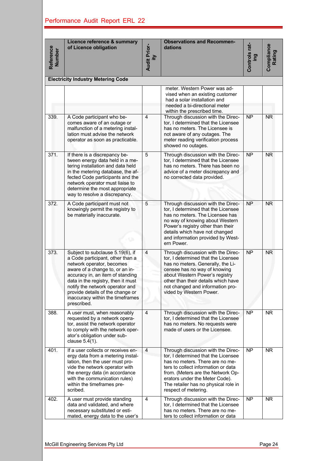| Reference<br><b>Number</b> | Licence reference & summary<br>of Licence obligation                                                                                                                                                                                                                                                                                     | <b>Audit Prior-</b><br>ίtγ | <b>Observations and Recommen-</b><br>dations                                                                                                                                                                                                                                               | Controls rat-<br>ing | <b>Compliance</b><br>Rating |
|----------------------------|------------------------------------------------------------------------------------------------------------------------------------------------------------------------------------------------------------------------------------------------------------------------------------------------------------------------------------------|----------------------------|--------------------------------------------------------------------------------------------------------------------------------------------------------------------------------------------------------------------------------------------------------------------------------------------|----------------------|-----------------------------|
|                            | <b>Electricity Industry Metering Code</b>                                                                                                                                                                                                                                                                                                |                            |                                                                                                                                                                                                                                                                                            |                      |                             |
|                            |                                                                                                                                                                                                                                                                                                                                          |                            | meter. Western Power was ad-<br>vised when an existing customer<br>had a solar installation and<br>needed a bi-directional meter<br>within the prescribed time.                                                                                                                            |                      |                             |
| 339.                       | A Code participant who be-<br>comes aware of an outage or<br>malfunction of a metering instal-<br>lation must advise the network<br>operator as soon as practicable.                                                                                                                                                                     | 4                          | Through discussion with the Direc-<br>tor, I determined that the Licensee<br>has no meters. The Licensee is<br>not aware of any outages. The<br>meter reading verification process<br>showed no outages.                                                                                   | $\overline{NP}$      | <b>NR</b>                   |
| 371.                       | If there is a discrepancy be-<br>tween energy data held in a me-<br>tering installation and data held<br>in the metering database, the af-<br>fected Code participants and the<br>network operator must liaise to<br>determine the most appropriate<br>way to resolve a discrepancy.                                                     | 5                          | Through discussion with the Direc-<br>tor, I determined that the Licensee<br>has no meters. There has been no<br>advice of a meter discrepancy and<br>no corrected data provided.                                                                                                          | $\overline{NP}$      | $\overline{\text{NR}}$      |
| 372.                       | A Code participant must not<br>knowingly permit the registry to<br>be materially inaccurate.                                                                                                                                                                                                                                             | 5                          | Through discussion with the Direc-<br>tor, I determined that the Licensee<br>has no meters. The Licensee has<br>no way of knowing about Western<br>Power's registry other than their<br>details which have not changed<br>and information provided by West-<br>ern Power.                  | <b>NP</b>            | <b>NR</b>                   |
| 373.                       | Subject to subclause 5.19(6), if<br>a Code participant, other than a<br>network operator, becomes<br>aware of a change to, or an in-<br>accuracy in, an item of standing<br>data in the registry, then it must<br>notify the network operator and<br>provide details of the change or<br>inaccuracy within the timeframes<br>prescribed. | 4                          | Through discussion with the Direc-<br>tor, I determined that the Licensee<br>has no meters. Generally, the Li-<br>censee has no way of knowing<br>about Western Power's registry<br>other than their details which have<br>not changed and information pro-<br>vided by Western Power.     | <b>NP</b>            | <b>NR</b>                   |
| 388.                       | A user must, when reasonably<br>requested by a network opera-<br>tor, assist the network operator<br>to comply with the network oper-<br>ator's obligation under sub-<br>clause 5.4(1).                                                                                                                                                  | $\overline{4}$             | Through discussion with the Direc-<br>tor, I determined that the Licensee<br>has no meters. No requests were<br>made of users or the Licensee.                                                                                                                                             | $\overline{NP}$      | $\overline{\text{NR}}$      |
| 401.                       | If a user collects or receives en-<br>ergy data from a metering instal-<br>lation, then the user must pro-<br>vide the network operator with<br>the energy data (in accordance<br>with the communication rules)<br>within the timeframes pre-<br>scribed.                                                                                | $\overline{4}$             | Through discussion with the Direc-<br>tor, I determined that the Licensee<br>has no meters. There are no me-<br>ters to collect information or data<br>from. (Meters are the Network Op-<br>erators under the Meter Code).<br>The retailer has no physical role in<br>respect of metering. | <b>NP</b>            | <b>NR</b>                   |
| 402.                       | A user must provide standing<br>data and validated, and where<br>necessary substituted or esti-                                                                                                                                                                                                                                          | 4                          | Through discussion with the Direc-<br>tor, I determined that the Licensee<br>has no meters. There are no me-<br>ters to collect information or data                                                                                                                                        | <b>NP</b>            | NR.                         |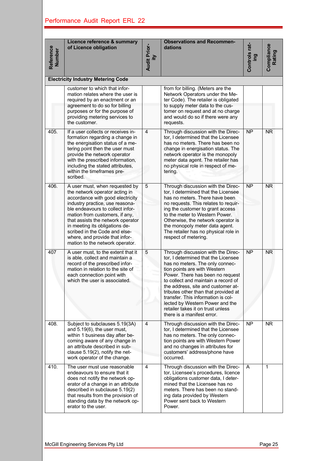| Reference<br><b>Number</b> | Licence reference & summary<br>of Licence obligation                                                                                                                                                                                                                                                                                                                                       | <b>Audit Prior-</b><br>ξÎ | <b>Observations and Recommen-</b><br>dations                                                                                                                                                                                                                                                                                                                                                                                                      | Controls rat-<br>leni | Compliance<br>Rating |
|----------------------------|--------------------------------------------------------------------------------------------------------------------------------------------------------------------------------------------------------------------------------------------------------------------------------------------------------------------------------------------------------------------------------------------|---------------------------|---------------------------------------------------------------------------------------------------------------------------------------------------------------------------------------------------------------------------------------------------------------------------------------------------------------------------------------------------------------------------------------------------------------------------------------------------|-----------------------|----------------------|
|                            | <b>Electricity Industry Metering Code</b>                                                                                                                                                                                                                                                                                                                                                  |                           |                                                                                                                                                                                                                                                                                                                                                                                                                                                   |                       |                      |
|                            | customer to which that infor-<br>mation relates where the user is<br>required by an enactment or an<br>agreement to do so for billing<br>purposes or for the purpose of<br>providing metering services to<br>the customer.                                                                                                                                                                 |                           | from for billing. (Meters are the<br>Network Operators under the Me-<br>ter Code). The retailer is obligated<br>to supply meter data to the cus-<br>tomer on request and at no charge<br>and would do so if there were any<br>requests.                                                                                                                                                                                                           |                       |                      |
| 405.                       | If a user collects or receives in-<br>formation regarding a change in<br>the energisation status of a me-<br>tering point then the user must<br>provide the network operator<br>with the prescribed information,<br>including the stated attributes,<br>within the timeframes pre-<br>scribed.                                                                                             | 4                         | Through discussion with the Direc-<br>tor, I determined that the Licensee<br>has no meters. There has been no<br>change in energisation status. The<br>network operator is the monopoly<br>meter data agent. The retailer has<br>no physical role in respect of me-<br>tering.                                                                                                                                                                    | <b>NP</b>             | <b>NR</b>            |
| 406.                       | A user must, when requested by<br>the network operator acting in<br>accordance with good electricity<br>industry practice, use reasona-<br>ble endeavours to collect infor-<br>mation from customers, if any,<br>that assists the network operator<br>in meeting its obligations de-<br>scribed in the Code and else-<br>where, and provide that infor-<br>mation to the network operator. | 5                         | Through discussion with the Direc-<br>tor, I determined that the Licensee<br>has no meters. There have been<br>no requests. This relates to requir-<br>ing the customer to grant access<br>to the meter to Western Power.<br>Otherwise, the network operator is<br>the monopoly meter data agent.<br>The retailer has no physical role in<br>respect of metering.                                                                                 | <b>NP</b>             | <b>NR</b>            |
| 407                        | A user must, to the extent that it<br>is able, collect and maintain a<br>record of the prescribed infor-<br>mation in relation to the site of<br>each connection point with<br>which the user is associated.                                                                                                                                                                               | 5                         | Through discussion with the Direc-<br>tor, I determined that the Licensee<br>has no meters. The only connec-<br>tion points are with Western<br>Power. There has been no request<br>to collect and maintain a record of<br>the address, site and customer at-<br>tributes other than that provided at<br>transfer. This information is col-<br>lected by Western Power and the<br>retailer takes it on trust unless<br>there is a manifest error. | <b>NP</b>             | <b>NR</b>            |
| 408.                       | Subject to subclauses 5.19(3A)<br>and 5.19(6), the user must,<br>within 1 business day after be-<br>coming aware of any change in<br>an attribute described in sub-<br>clause 5.19(2), notify the net-<br>work operator of the change.                                                                                                                                                     | 4                         | Through discussion with the Direc-<br>tor, I determined that the Licensee<br>has no meters. The only connec-<br>tion points are with Western Power<br>and no changes in attributes for<br>customers' address/phone have<br>occurred.                                                                                                                                                                                                              | $\overline{NP}$       | <b>NR</b>            |
| 410.                       | The user must use reasonable<br>endeavours to ensure that it<br>does not notify the network op-<br>erator of a change in an attribute<br>described in subclause 5.19(2)<br>that results from the provision of<br>standing data by the network op-<br>erator to the user.                                                                                                                   | 4                         | Through discussion with the Direc-<br>tor, Licensee's procedures, licence<br>obligations customer data, I deter-<br>mined that the Licensee has no<br>meters. There has been no stand-<br>ing data provided by Western<br>Power sent back to Western<br>Power.                                                                                                                                                                                    | A                     | 1                    |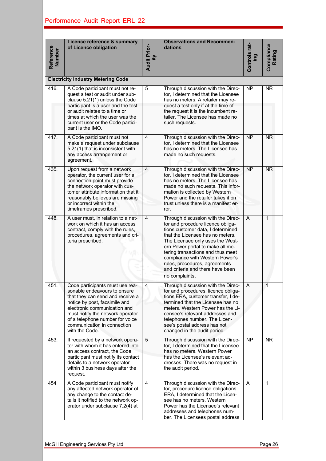| Reference<br>Number | Licence reference & summary<br>of Licence obligation                                                                                                                                                                                                                                         | <b>Audit Prior-</b><br>ξÌ                                                                                                                                                                                                                                                                    | <b>Observations and Recommen-</b><br>dations                                                                                                                                                                                                                                                                                                                                            | Controls rat-<br>ing | Compliance<br>Rating |
|---------------------|----------------------------------------------------------------------------------------------------------------------------------------------------------------------------------------------------------------------------------------------------------------------------------------------|----------------------------------------------------------------------------------------------------------------------------------------------------------------------------------------------------------------------------------------------------------------------------------------------|-----------------------------------------------------------------------------------------------------------------------------------------------------------------------------------------------------------------------------------------------------------------------------------------------------------------------------------------------------------------------------------------|----------------------|----------------------|
|                     | <b>Electricity Industry Metering Code</b>                                                                                                                                                                                                                                                    |                                                                                                                                                                                                                                                                                              |                                                                                                                                                                                                                                                                                                                                                                                         |                      |                      |
| 416.                | A Code participant must not re-<br>quest a test or audit under sub-<br>clause 5.21(1) unless the Code<br>participant is a user and the test<br>or audit relates to a time or<br>times at which the user was the<br>current user or the Code partici-<br>pant is the IMO.                     | $\mathbf 5$                                                                                                                                                                                                                                                                                  | Through discussion with the Direc-<br>tor, I determined that the Licensee<br>has no meters. A retailer may re-<br>quest a test only if at the time of<br>the request it is the incumbent re-<br>tailer. The Licensee has made no<br>such requests.                                                                                                                                      | <b>NP</b>            | <b>NR</b>            |
| 417.                | A Code participant must not<br>make a request under subclause<br>5.21(1) that is inconsistent with<br>any access arrangement or<br>agreement.                                                                                                                                                | $\overline{4}$                                                                                                                                                                                                                                                                               | Through discussion with the Direc-<br>tor, I determined that the Licensee<br>has no meters. The Licensee has<br>made no such requests.                                                                                                                                                                                                                                                  | <b>NP</b>            | <b>NR</b>            |
| 435.                | Upon request from a network<br>operator, the current user for a<br>connection point must provide<br>the network operator with cus-<br>tomer attribute information that it<br>reasonably believes are missing<br>or incorrect within the<br>timeframes prescribed.                            | $\overline{4}$<br>Through discussion with the Direc-<br>tor, I determined that the Licensee<br>has no meters. The Licensee has<br>made no such requests. This infor-<br>mation is collected by Western<br>Power and the retailer takes it on<br>trust unless there is a manifest er-<br>ror. |                                                                                                                                                                                                                                                                                                                                                                                         | <b>NP</b>            | <b>NR</b>            |
| 448.                | A user must, in relation to a net-<br>work on which it has an access<br>contract, comply with the rules,<br>procedures, agreements and cri-<br>teria prescribed.                                                                                                                             | 4                                                                                                                                                                                                                                                                                            | Through discussion with the Direc-<br>tor and procedure licence obliga-<br>tions customer data, I determined<br>that the Licensee has no meters.<br>The Licensee only uses the West-<br>ern Power portal to make all me-<br>tering transactions and thus meet<br>compliance with Western Power's<br>rules, procedures, agreements<br>and criteria and there have been<br>no complaints. | $\mathsf{A}$         | 1                    |
| 451.                | Code participants must use rea-<br>sonable endeavours to ensure<br>that they can send and receive a<br>notice by post, facsimile and<br>electronic communication and<br>must notify the network operator<br>of a telephone number for voice<br>communication in connection<br>with the Code. | 4                                                                                                                                                                                                                                                                                            | Through discussion with the Direc-<br>tor and procedures, licence obliga-<br>tions ERA, customer transfer, I de-<br>termined that the Licensee has no<br>meters. Western Power has the Li-<br>censee's relevant addresses and<br>telephones number. The Licen-<br>see's postal address has not<br>changed in the audit period                                                           | A                    | 1                    |
| 453.                | If requested by a network opera-<br>tor with whom it has entered into<br>an access contract, the Code<br>participant must notify its contact<br>details to a network operator<br>within 3 business days after the<br>request.                                                                | $\mathbf 5$                                                                                                                                                                                                                                                                                  | Through discussion with the Direc-<br>tor, I determined that the Licensee<br>has no meters. Western Power<br>has the Licensee's relevant ad-<br>dresses. There was no request in<br>the audit period.                                                                                                                                                                                   | <b>NP</b>            | <b>NR</b>            |
| 454                 | A Code participant must notify<br>any affected network operator of<br>any change to the contact de-<br>tails it notified to the network op-<br>erator under subclause 7.2(4) at                                                                                                              | $\overline{4}$                                                                                                                                                                                                                                                                               | Through discussion with the Direc-<br>tor, procedure licence obligations<br>ERA, I determined that the Licen-<br>see has no meters. Western<br>Power has the Licensee's relevant<br>addresses and telephones num-<br>ber. The Licensees postal address                                                                                                                                  | A                    | 1                    |
|                     | McGill Engineering Services Pty Ltd                                                                                                                                                                                                                                                          |                                                                                                                                                                                                                                                                                              |                                                                                                                                                                                                                                                                                                                                                                                         |                      | Page 26              |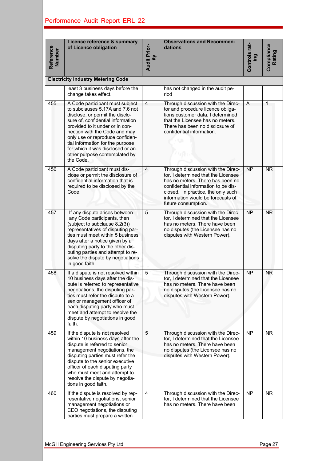| Reference<br><b>Number</b> | Licence reference & summary<br>of Licence obligation                                                                                                                                                                                                                                                                                                                     | <b>Audit Prior-</b><br>ίty                                                                                                                                                            | <b>Observations and Recommen-</b><br>dations                                                                                                                                                                                                           | Controls rat-<br>ing | Compliance<br>Rating |
|----------------------------|--------------------------------------------------------------------------------------------------------------------------------------------------------------------------------------------------------------------------------------------------------------------------------------------------------------------------------------------------------------------------|---------------------------------------------------------------------------------------------------------------------------------------------------------------------------------------|--------------------------------------------------------------------------------------------------------------------------------------------------------------------------------------------------------------------------------------------------------|----------------------|----------------------|
|                            | <b>Electricity Industry Metering Code</b>                                                                                                                                                                                                                                                                                                                                |                                                                                                                                                                                       |                                                                                                                                                                                                                                                        |                      |                      |
|                            | least 3 business days before the<br>change takes effect.                                                                                                                                                                                                                                                                                                                 |                                                                                                                                                                                       | has not changed in the audit pe-<br>riod                                                                                                                                                                                                               |                      |                      |
| 455                        | A Code participant must subject<br>to subclauses 5.17A and 7.6 not<br>disclose, or permit the disclo-<br>sure of, confidential information<br>provided to it under or in con-<br>nection with the Code and may<br>only use or reproduce confiden-<br>tial information for the purpose<br>for which it was disclosed or an-<br>other purpose contemplated by<br>the Code. | $\overline{4}$                                                                                                                                                                        | Through discussion with the Direc-<br>tor and procedure licence obliga-<br>tions customer data, I determined<br>that the Licensee has no meters.<br>There has been no disclosure of<br>confidential information.                                       |                      | 1                    |
| 456                        | A Code participant must dis-<br>close or permit the disclosure of<br>confidential information that is<br>required to be disclosed by the<br>Code.                                                                                                                                                                                                                        | $\overline{4}$                                                                                                                                                                        | Through discussion with the Direc-<br>tor, I determined that the Licensee<br>has no meters. There has been no<br>confidential information to be dis-<br>closed. In practice, the only such<br>information would be forecasts of<br>future consumption. | <b>NP</b>            | <b>NR</b>            |
| 457                        | If any dispute arises between<br>any Code participants, then<br>(subject to subclause 8.2(3))<br>representatives of disputing par-<br>ties must meet within 5 business<br>days after a notice given by a<br>disputing party to the other dis-<br>puting parties and attempt to re-<br>solve the dispute by negotiations<br>in good faith.                                | 5<br>Through discussion with the Direc-<br>tor, I determined that the Licensee<br>has no meters. There have been<br>no disputes (the Licensee has no<br>disputes with Western Power). |                                                                                                                                                                                                                                                        | <b>NP</b>            | <b>NR</b>            |
| 458                        | If a dispute is not resolved within<br>10 business days after the dis-<br>pute is referred to representative<br>negotiations, the disputing par-<br>ties must refer the dispute to a<br>senior management officer of<br>each disputing party who must<br>meet and attempt to resolve the<br>dispute by negotiations in good<br>faith.                                    | 5                                                                                                                                                                                     | Through discussion with the Direc-<br>tor, I determined that the Licensee<br>has no meters. There have been<br>no disputes (the Licensee has no<br>disputes with Western Power).                                                                       | <b>NP</b>            | <b>NR</b>            |
| 459                        | If the dispute is not resolved<br>within 10 business days after the<br>dispute is referred to senior<br>management negotiations, the<br>disputing parties must refer the<br>dispute to the senior executive<br>officer of each disputing party<br>who must meet and attempt to<br>resolve the dispute by negotia-<br>tions in good faith.                                | 5                                                                                                                                                                                     | Through discussion with the Direc-<br>tor, I determined that the Licensee<br>has no meters. There have been<br>no disputes (the Licensee has no<br>disputes with Western Power).                                                                       | $\overline{NP}$      | <b>NR</b>            |
| 460                        | If the dispute is resolved by rep-<br>resentative negotiations, senior<br>management negotiations or<br>CEO negotiations, the disputing<br>parties must prepare a written                                                                                                                                                                                                | 4                                                                                                                                                                                     | Through discussion with the Direc-<br>tor, I determined that the Licensee<br>has no meters. There have been                                                                                                                                            | N <sub>P</sub>       | <b>NR</b>            |
|                            | McGill Engineering Services Pty Ltd                                                                                                                                                                                                                                                                                                                                      |                                                                                                                                                                                       |                                                                                                                                                                                                                                                        |                      | Page 27              |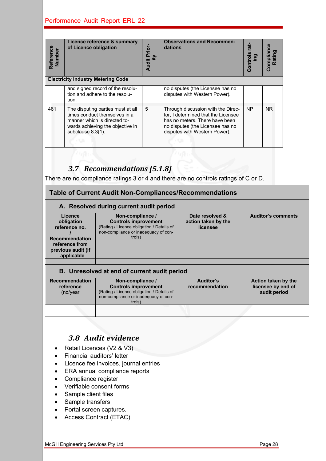| Reference<br>Number | of Licence obligation                                                                                                        | Licence reference & summary                                                                                                                                                                                                                     | <b>Audit Prior-</b><br>ĀΪ | dations | <b>Observations and Recommen-</b>                                                                                                                                                | Controls rat-<br>leg | <b>Compliance</b><br>Rating                        |
|---------------------|------------------------------------------------------------------------------------------------------------------------------|-------------------------------------------------------------------------------------------------------------------------------------------------------------------------------------------------------------------------------------------------|---------------------------|---------|----------------------------------------------------------------------------------------------------------------------------------------------------------------------------------|----------------------|----------------------------------------------------|
|                     |                                                                                                                              | <b>Electricity Industry Metering Code</b>                                                                                                                                                                                                       |                           |         |                                                                                                                                                                                  |                      |                                                    |
|                     | tion.                                                                                                                        | and signed record of the resolu-<br>tion and adhere to the resolu-                                                                                                                                                                              |                           |         | no disputes (the Licensee has no<br>disputes with Western Power).                                                                                                                |                      |                                                    |
| 461                 | subclause 8.3(1).                                                                                                            | The disputing parties must at all<br>times conduct themselves in a<br>manner which is directed to-<br>wards achieving the objective in                                                                                                          | 5                         |         | Through discussion with the Direc-<br>tor, I determined that the Licensee<br>has no meters. There have been<br>no disputes (the Licensee has no<br>disputes with Western Power). | <b>NP</b>            | <b>NR</b>                                          |
|                     |                                                                                                                              |                                                                                                                                                                                                                                                 |                           |         |                                                                                                                                                                                  |                      |                                                    |
|                     |                                                                                                                              | 3.7 Recommendations [5.1.8]                                                                                                                                                                                                                     |                           |         | There are no compliance ratings 3 or 4 and there are no controls ratings of C or D.<br>Table of Current Audit Non-Compliances/Recommendations                                    |                      |                                                    |
|                     |                                                                                                                              | A. Resolved during current audit period                                                                                                                                                                                                         |                           |         |                                                                                                                                                                                  |                      |                                                    |
|                     | <b>Licence</b><br>obligation<br>reference no.<br><b>Recommendation</b><br>reference from<br>previous audit (if<br>applicable | Non-compliance /<br><b>Controls improvement</b><br>(Rating / Licence obligation / Details of<br>non-compliance or inadequacy of con-<br>trols)                                                                                                  |                           |         | Date resolved &<br>action taken by the<br>licensee                                                                                                                               |                      | Auditor's com                                      |
|                     |                                                                                                                              | B. Unresolved at end of current audit period                                                                                                                                                                                                    |                           |         |                                                                                                                                                                                  |                      |                                                    |
|                     | Recommendation<br>reference<br>(no/year)                                                                                     | Non-compliance /<br><b>Controls improvement</b><br>(Rating / Licence obligation / Details of<br>non-compliance or inadequacy of con-<br>trols)                                                                                                  |                           |         | <b>Auditor's</b><br>recommendation                                                                                                                                               |                      | <b>Action taken</b><br>licensee by e<br>audit peri |
|                     |                                                                                                                              |                                                                                                                                                                                                                                                 |                           |         |                                                                                                                                                                                  |                      |                                                    |
|                     | Compliance register<br>Sample client files<br>Sample transfers                                                               | 3.8 Audit evidence<br>Retail Licences (V2 & V3)<br>Financial auditors' letter<br>Licence fee invoices, journal entries<br>ERA annual compliance reports<br>Verifiable consent forms<br>Portal screen captures.<br><b>Access Contract (ETAC)</b> |                           |         |                                                                                                                                                                                  |                      |                                                    |
|                     | McGill Engineering Services Pty Ltd                                                                                          |                                                                                                                                                                                                                                                 |                           |         |                                                                                                                                                                                  |                      | Page 28                                            |

## *3.7 Recommendations [5.1.8]*

| <b>Table of Current Audit Non-Compliances/Recommendations</b> |                                                                                             |                                        |                           |  |  |  |
|---------------------------------------------------------------|---------------------------------------------------------------------------------------------|----------------------------------------|---------------------------|--|--|--|
| A. Resolved during current audit period                       |                                                                                             |                                        |                           |  |  |  |
| Licence<br>obligation                                         | Non-compliance /<br><b>Controls improvement</b>                                             | Date resolved &<br>action taken by the | <b>Auditor's comments</b> |  |  |  |
| reference no.<br>Recommendation                               | (Rating / Licence obligation / Details of<br>non-compliance or inadequacy of con-<br>trols) | licensee                               |                           |  |  |  |

#### **B. Unresolved at end of current audit period**

| <b>Recommendation</b><br>reference<br>(no/year) | Non-compliance /<br><b>Controls improvement</b><br>(Rating / Licence obligation / Details of<br>non-compliance or inadequacy of con-<br>trols) | <b>Auditor's</b><br>recommendation | Action taken by the<br>licensee by end of<br>audit period |
|-------------------------------------------------|------------------------------------------------------------------------------------------------------------------------------------------------|------------------------------------|-----------------------------------------------------------|
|                                                 |                                                                                                                                                |                                    |                                                           |

### *3.8 Audit evidence*

- Retail Licences (V2 & V3)
- Financial auditors' letter

- Licence fee invoices, journal entries
- ERA annual compliance reports
- Compliance register
- Verifiable consent forms
- Sample client files
- Sample transfers
- Portal screen captures.
- Access Contract (ETAC)